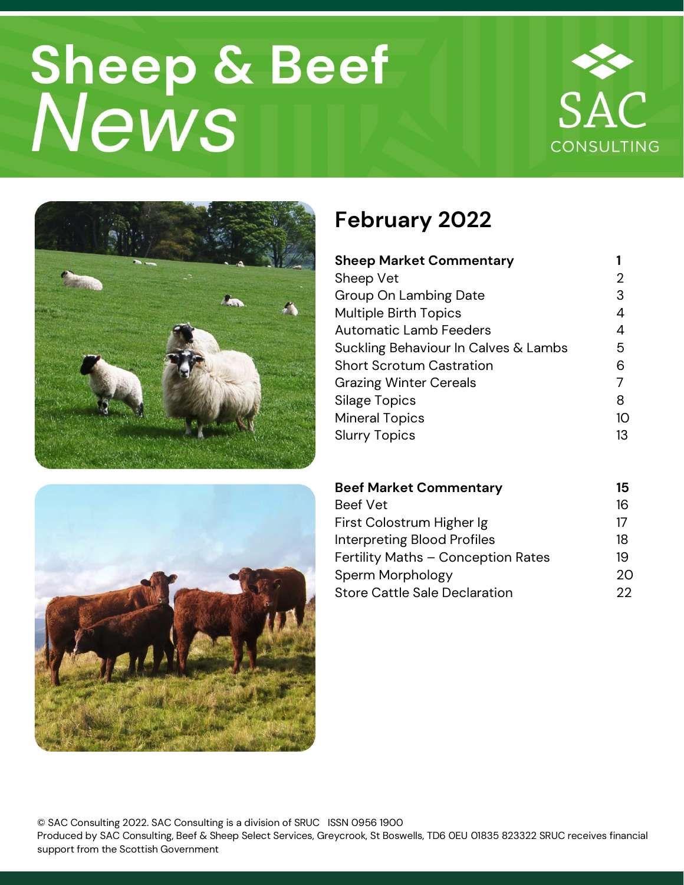# Sheep & Beef<br>News







# **February 2022**

| <b>Sheep Market Commentary</b>       |    |
|--------------------------------------|----|
| Sheep Vet                            | 2  |
| Group On Lambing Date                | 3  |
| <b>Multiple Birth Topics</b>         | 4  |
| <b>Automatic Lamb Feeders</b>        | 4  |
| Suckling Behaviour In Calves & Lambs | 5  |
| <b>Short Scrotum Castration</b>      | 6  |
| <b>Grazing Winter Cereals</b>        | 7  |
| Silage Topics                        | 8  |
| <b>Mineral Topics</b>                | 10 |
| <b>Slurry Topics</b>                 | 13 |

| <b>Beef Market Commentary</b>        | 15 |
|--------------------------------------|----|
| <b>Beef Vet</b>                      | 16 |
| First Colostrum Higher Ig            | 17 |
| <b>Interpreting Blood Profiles</b>   | 18 |
| Fertility Maths - Conception Rates   | 19 |
| Sperm Morphology                     | 20 |
| <b>Store Cattle Sale Declaration</b> | クク |

© SAC Consulting 2022. SAC Consulting is a division of SRUC ISSN 0956 1900 Produced by SAC Consulting, Beef & Sheep Select Services, Greycrook, St Boswells, TD6 0EU 01835 823322 SRUC receives financial support from the Scottish Government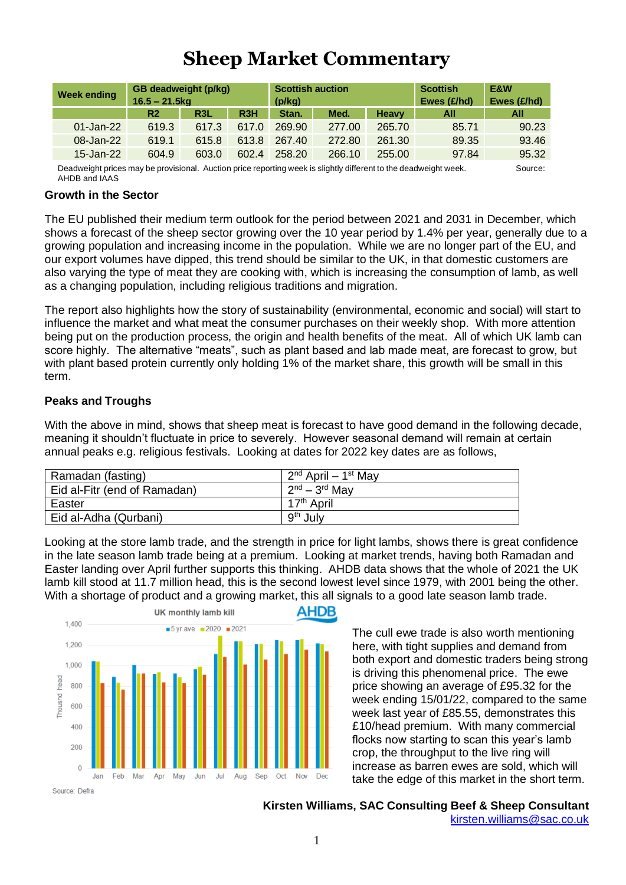## **Sheep Market Commentary**

| <b>Week ending</b> | GB deadweight (p/kg)<br>$16.5 - 21.5$ kg |                  |                  | <b>Scottish auction</b><br>(p/kg) |        |              | <b>Scottish</b><br>Ewes $(E/hd)$ | E&W<br>Ewes (£/hd) |
|--------------------|------------------------------------------|------------------|------------------|-----------------------------------|--------|--------------|----------------------------------|--------------------|
|                    | R2                                       | R <sub>3</sub> L | R <sub>3</sub> H | Stan.                             | Med.   | <b>Heavy</b> | All                              | All                |
| $01$ -Jan-22       | 619.3                                    | 617.3            | 617.0            | 269.90                            | 277.00 | 265.70       | 85.71                            | 90.23              |
| 08-Jan-22          | 619.1                                    | 615.8            | 613.8            | 267.40                            | 272.80 | 261.30       | 89.35                            | 93.46              |
| 15-Jan-22          | 604.9                                    | 603.0            | 602.4            | 258.20                            | 266.10 | 255.00       | 97.84                            | 95.32              |

Deadweight prices may be provisional. Auction price reporting week is slightly different to the deadweight week. Source: AHDB and IAAS

#### **Growth in the Sector**

The EU published their medium term outlook for the period between 2021 and 2031 in December, which shows a forecast of the sheep sector growing over the 10 year period by 1.4% per year, generally due to a growing population and increasing income in the population. While we are no longer part of the EU, and our export volumes have dipped, this trend should be similar to the UK, in that domestic customers are also varying the type of meat they are cooking with, which is increasing the consumption of lamb, as well as a changing population, including religious traditions and migration.

The report also highlights how the story of sustainability (environmental, economic and social) will start to influence the market and what meat the consumer purchases on their weekly shop. With more attention being put on the production process, the origin and health benefits of the meat. All of which UK lamb can score highly. The alternative "meats", such as plant based and lab made meat, are forecast to grow, but with plant based protein currently only holding 1% of the market share, this growth will be small in this term.

#### **Peaks and Troughs**

With the above in mind, shows that sheep meat is forecast to have good demand in the following decade, meaning it shouldn't fluctuate in price to severely. However seasonal demand will remain at certain annual peaks e.g. religious festivals. Looking at dates for 2022 key dates are as follows,

| Ramadan (fasting)            | $2nd$ April – 1 <sup>st</sup> May |
|------------------------------|-----------------------------------|
| Eid al-Fitr (end of Ramadan) | $12^{nd} - 3^{rd}$ May            |
| Easter                       | 17 <sup>th</sup> April            |
| Eid al-Adha (Qurbani)        | 9 <sup>th</sup> July              |

Looking at the store lamb trade, and the strength in price for light lambs, shows there is great confidence in the late season lamb trade being at a premium. Looking at market trends, having both Ramadan and Easter landing over April further supports this thinking. AHDB data shows that the whole of 2021 the UK lamb kill stood at 11.7 million head, this is the second lowest level since 1979, with 2001 being the other. With a shortage of product and a growing market, this all signals to a good late season lamb trade.



The cull ewe trade is also worth mentioning here, with tight supplies and demand from both export and domestic traders being strong is driving this phenomenal price. The ewe price showing an average of £95.32 for the week ending 15/01/22, compared to the same week last year of £85.55, demonstrates this £10/head premium. With many commercial flocks now starting to scan this year's lamb crop, the throughput to the live ring will increase as barren ewes are sold, which will take the edge of this market in the short term.

**Kirsten Williams, SAC Consulting Beef & Sheep Consultant** [kirsten.williams@sac.co.uk](mailto:kirsten.williams@sac.co.uk)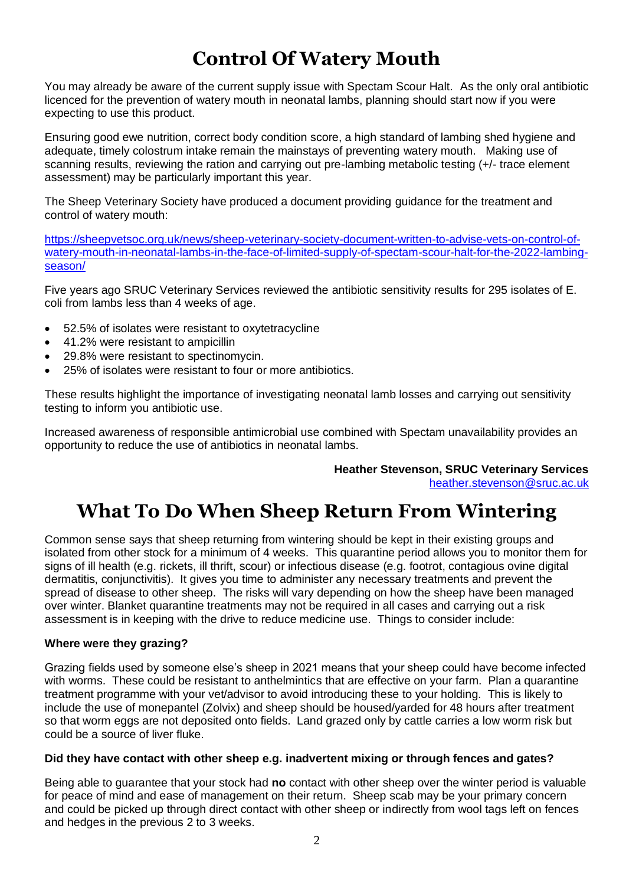## **Control Of Watery Mouth**

You may already be aware of the current supply issue with Spectam Scour Halt. As the only oral antibiotic licenced for the prevention of watery mouth in neonatal lambs, planning should start now if you were expecting to use this product.

Ensuring good ewe nutrition, correct body condition score, a high standard of lambing shed hygiene and adequate, timely colostrum intake remain the mainstays of preventing watery mouth. Making use of scanning results, reviewing the ration and carrying out pre-lambing metabolic testing (+/- trace element assessment) may be particularly important this year.

The Sheep Veterinary Society have produced a document providing guidance for the treatment and control of watery mouth:

[https://sheepvetsoc.org.uk/news/sheep-veterinary-society-document-written-to-advise-vets-on-control-of](https://sheepvetsoc.org.uk/news/sheep-veterinary-society-document-written-to-advise-vets-on-control-of-watery-mouth-in-neonatal-lambs-in-the-face-of-limited-supply-of-spectam-scour-halt-for-the-2022-lambing-season/)[watery-mouth-in-neonatal-lambs-in-the-face-of-limited-supply-of-spectam-scour-halt-for-the-2022-lambing](https://sheepvetsoc.org.uk/news/sheep-veterinary-society-document-written-to-advise-vets-on-control-of-watery-mouth-in-neonatal-lambs-in-the-face-of-limited-supply-of-spectam-scour-halt-for-the-2022-lambing-season/)[season/](https://sheepvetsoc.org.uk/news/sheep-veterinary-society-document-written-to-advise-vets-on-control-of-watery-mouth-in-neonatal-lambs-in-the-face-of-limited-supply-of-spectam-scour-halt-for-the-2022-lambing-season/)

Five years ago SRUC Veterinary Services reviewed the antibiotic sensitivity results for 295 isolates of E. coli from lambs less than 4 weeks of age.

- 52.5% of isolates were resistant to oxytetracycline
- 41.2% were resistant to ampicillin
- 29.8% were resistant to spectinomycin.
- 25% of isolates were resistant to four or more antibiotics.

These results highlight the importance of investigating neonatal lamb losses and carrying out sensitivity testing to inform you antibiotic use.

Increased awareness of responsible antimicrobial use combined with Spectam unavailability provides an opportunity to reduce the use of antibiotics in neonatal lambs.

> **Heather Stevenson, SRUC Veterinary Services** [heather.stevenson@sruc.ac.uk](mailto:heather.stevenson@sruc.ac.uk)

## **What To Do When Sheep Return From Wintering**

Common sense says that sheep returning from wintering should be kept in their existing groups and isolated from other stock for a minimum of 4 weeks. This quarantine period allows you to monitor them for signs of ill health (e.g. rickets, ill thrift, scour) or infectious disease (e.g. footrot, contagious ovine digital dermatitis, conjunctivitis). It gives you time to administer any necessary treatments and prevent the spread of disease to other sheep. The risks will vary depending on how the sheep have been managed over winter. Blanket quarantine treatments may not be required in all cases and carrying out a risk assessment is in keeping with the drive to reduce medicine use. Things to consider include:

#### **Where were they grazing?**

Grazing fields used by someone else's sheep in 2021 means that your sheep could have become infected with worms. These could be resistant to anthelmintics that are effective on your farm. Plan a quarantine treatment programme with your vet/advisor to avoid introducing these to your holding. This is likely to include the use of monepantel (Zolvix) and sheep should be housed/yarded for 48 hours after treatment so that worm eggs are not deposited onto fields. Land grazed only by cattle carries a low worm risk but could be a source of liver fluke.

#### **Did they have contact with other sheep e.g. inadvertent mixing or through fences and gates?**

Being able to guarantee that your stock had **no** contact with other sheep over the winter period is valuable for peace of mind and ease of management on their return. Sheep scab may be your primary concern and could be picked up through direct contact with other sheep or indirectly from wool tags left on fences and hedges in the previous 2 to 3 weeks.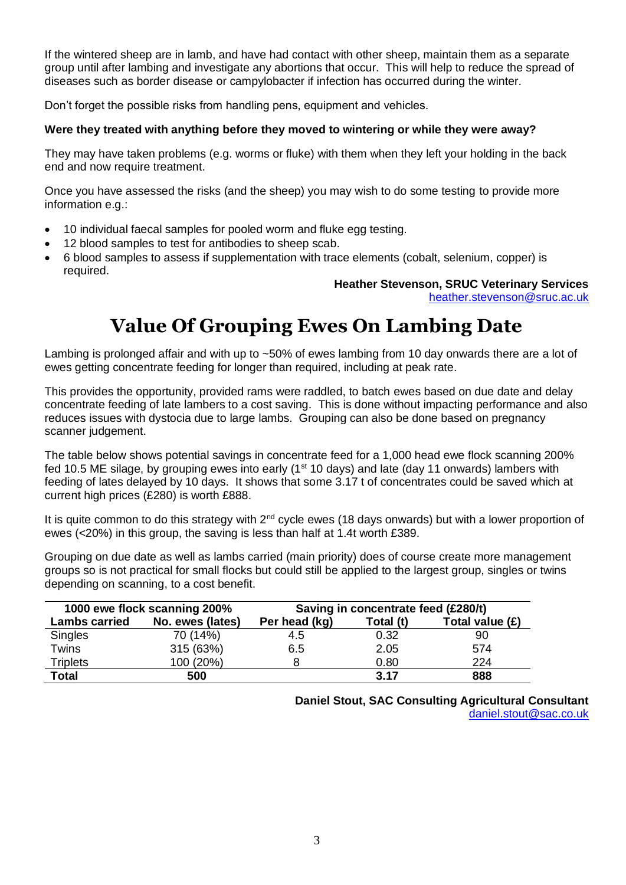If the wintered sheep are in lamb, and have had contact with other sheep, maintain them as a separate group until after lambing and investigate any abortions that occur. This will help to reduce the spread of diseases such as border disease or campylobacter if infection has occurred during the winter.

Don't forget the possible risks from handling pens, equipment and vehicles.

#### **Were they treated with anything before they moved to wintering or while they were away?**

They may have taken problems (e.g. worms or fluke) with them when they left your holding in the back end and now require treatment.

Once you have assessed the risks (and the sheep) you may wish to do some testing to provide more information e.g.:

- 10 individual faecal samples for pooled worm and fluke egg testing.
- 12 blood samples to test for antibodies to sheep scab.
- 6 blood samples to assess if supplementation with trace elements (cobalt, selenium, copper) is required.

**Heather Stevenson, SRUC Veterinary Services**

[heather.stevenson@sruc.ac.uk](mailto:heather.stevenson@sruc.ac.uk)

# **Value Of Grouping Ewes On Lambing Date**

Lambing is prolonged affair and with up to ~50% of ewes lambing from 10 day onwards there are a lot of ewes getting concentrate feeding for longer than required, including at peak rate.

This provides the opportunity, provided rams were raddled, to batch ewes based on due date and delay concentrate feeding of late lambers to a cost saving. This is done without impacting performance and also reduces issues with dystocia due to large lambs. Grouping can also be done based on pregnancy scanner judgement.

The table below shows potential savings in concentrate feed for a 1,000 head ewe flock scanning 200% fed 10.5 ME silage, by grouping ewes into early (1<sup>st</sup> 10 days) and late (day 11 onwards) lambers with feeding of lates delayed by 10 days. It shows that some 3.17 t of concentrates could be saved which at current high prices (£280) is worth £888.

It is quite common to do this strategy with  $2^{nd}$  cycle ewes (18 days onwards) but with a lower proportion of ewes (<20%) in this group, the saving is less than half at 1.4t worth £389.

Grouping on due date as well as lambs carried (main priority) does of course create more management groups so is not practical for small flocks but could still be applied to the largest group, singles or twins depending on scanning, to a cost benefit.

|                      | 1000 ewe flock scanning 200% | Saving in concentrate feed (£280/t) |           |                 |  |  |
|----------------------|------------------------------|-------------------------------------|-----------|-----------------|--|--|
| <b>Lambs carried</b> | No. ewes (lates)             | Per head (kg)                       | Total (t) | Total value (£) |  |  |
| <b>Singles</b>       | 70 (14%)                     | 4.5                                 | 0.32      | 90              |  |  |
| Twins                | 315 (63%)                    | 6.5                                 | 2.05      | 574             |  |  |
| <b>Triplets</b>      | 100 (20%)                    |                                     | 0.80      | 224             |  |  |
| <b>Total</b>         | 500                          |                                     | 3.17      | 888             |  |  |

**Daniel Stout, SAC Consulting Agricultural Consultant**  [daniel.stout@sac.co.uk](mailto:daniel.stout@sac.co.uk)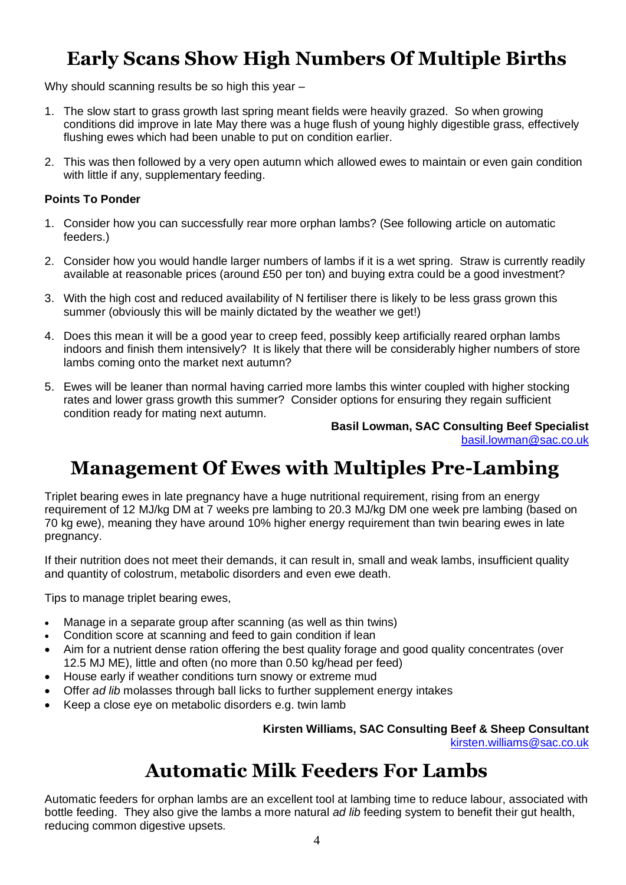# **Early Scans Show High Numbers Of Multiple Births**

Why should scanning results be so high this year –

- 1. The slow start to grass growth last spring meant fields were heavily grazed. So when growing conditions did improve in late May there was a huge flush of young highly digestible grass, effectively flushing ewes which had been unable to put on condition earlier.
- 2. This was then followed by a very open autumn which allowed ewes to maintain or even gain condition with little if any, supplementary feeding.

#### **Points To Ponder**

- 1. Consider how you can successfully rear more orphan lambs? (See following article on automatic feeders.)
- 2. Consider how you would handle larger numbers of lambs if it is a wet spring. Straw is currently readily available at reasonable prices (around £50 per ton) and buying extra could be a good investment?
- 3. With the high cost and reduced availability of N fertiliser there is likely to be less grass grown this summer (obviously this will be mainly dictated by the weather we get!)
- 4. Does this mean it will be a good year to creep feed, possibly keep artificially reared orphan lambs indoors and finish them intensively? It is likely that there will be considerably higher numbers of store lambs coming onto the market next autumn?
- 5. Ewes will be leaner than normal having carried more lambs this winter coupled with higher stocking rates and lower grass growth this summer? Consider options for ensuring they regain sufficient condition ready for mating next autumn.

**Basil Lowman, SAC Consulting Beef Specialist** [basil.lowman@sac.co.uk](mailto:basil.lowman@sac.co.uk)

## **Management Of Ewes with Multiples Pre-Lambing**

Triplet bearing ewes in late pregnancy have a huge nutritional requirement, rising from an energy requirement of 12 MJ/kg DM at 7 weeks pre lambing to 20.3 MJ/kg DM one week pre lambing (based on 70 kg ewe), meaning they have around 10% higher energy requirement than twin bearing ewes in late pregnancy.

If their nutrition does not meet their demands, it can result in, small and weak lambs, insufficient quality and quantity of colostrum, metabolic disorders and even ewe death.

Tips to manage triplet bearing ewes,

- Manage in a separate group after scanning (as well as thin twins)
- Condition score at scanning and feed to gain condition if lean
- Aim for a nutrient dense ration offering the best quality forage and good quality concentrates (over 12.5 MJ ME), little and often (no more than 0.50 kg/head per feed)
- House early if weather conditions turn snowy or extreme mud
- Offer *ad lib* molasses through ball licks to further supplement energy intakes
- Keep a close eye on metabolic disorders e.g. twin lamb

#### **Kirsten Williams, SAC Consulting Beef & Sheep Consultant**

[kirsten.williams@sac.co.uk](mailto:kirsten.williams@sac.co.uk)

## **Automatic Milk Feeders For Lambs**

Automatic feeders for orphan lambs are an excellent tool at lambing time to reduce labour, associated with bottle feeding. They also give the lambs a more natural *ad lib* feeding system to benefit their gut health, reducing common digestive upsets.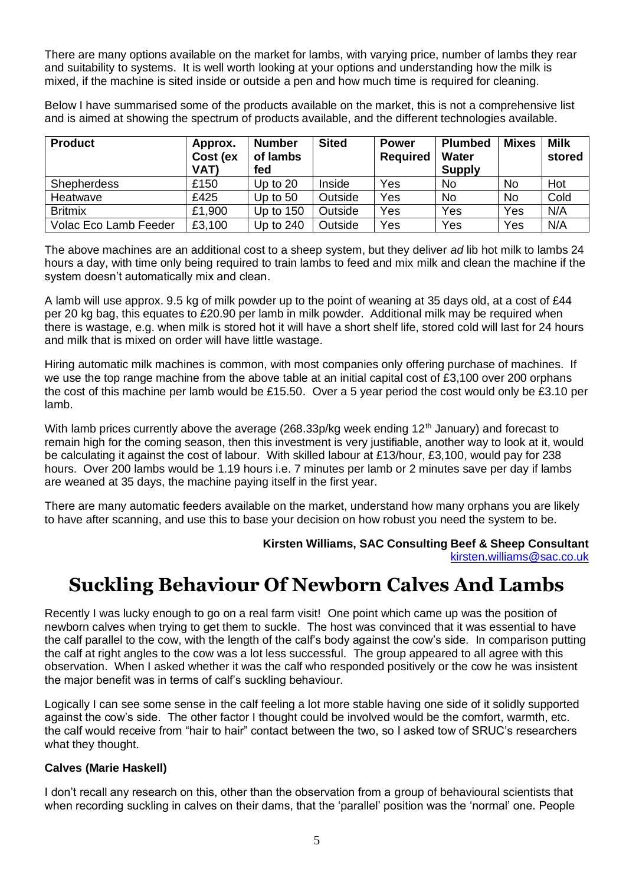There are many options available on the market for lambs, with varying price, number of lambs they rear and suitability to systems. It is well worth looking at your options and understanding how the milk is mixed, if the machine is sited inside or outside a pen and how much time is required for cleaning.

Below I have summarised some of the products available on the market, this is not a comprehensive list and is aimed at showing the spectrum of products available, and the different technologies available.

| <b>Product</b>        | Approx.<br>Cost (ex<br>VAT) | <b>Number</b><br>of lambs<br>fed | <b>Sited</b> | <b>Power</b><br><b>Required</b> | <b>Plumbed</b><br>Water<br><b>Supply</b> | <b>Mixes</b> | Milk<br>stored |
|-----------------------|-----------------------------|----------------------------------|--------------|---------------------------------|------------------------------------------|--------------|----------------|
| Shepherdess           | £150                        | Up to $20$                       | Inside       | Yes                             | No                                       | No           | Hot            |
| Heatwave              | £425                        | Up to $50$                       | Outside      | Yes                             | No                                       | No           | Cold           |
| <b>Britmix</b>        | £1,900                      | Up to $150$                      | Outside      | Yes                             | Yes                                      | Yes          | N/A            |
| Volac Eco Lamb Feeder | £3,100                      | Up to $240$                      | Outside      | Yes                             | Yes                                      | Yes          | N/A            |

The above machines are an additional cost to a sheep system, but they deliver *ad* lib hot milk to lambs 24 hours a day, with time only being required to train lambs to feed and mix milk and clean the machine if the system doesn't automatically mix and clean.

A lamb will use approx. 9.5 kg of milk powder up to the point of weaning at 35 days old, at a cost of £44 per 20 kg bag, this equates to £20.90 per lamb in milk powder. Additional milk may be required when there is wastage, e.g. when milk is stored hot it will have a short shelf life, stored cold will last for 24 hours and milk that is mixed on order will have little wastage.

Hiring automatic milk machines is common, with most companies only offering purchase of machines. If we use the top range machine from the above table at an initial capital cost of £3,100 over 200 orphans the cost of this machine per lamb would be £15.50. Over a 5 year period the cost would only be £3.10 per lamb.

With lamb prices currently above the average (268.33p/kg week ending 12<sup>th</sup> January) and forecast to remain high for the coming season, then this investment is very justifiable, another way to look at it, would be calculating it against the cost of labour. With skilled labour at £13/hour, £3,100, would pay for 238 hours. Over 200 lambs would be 1.19 hours i.e. 7 minutes per lamb or 2 minutes save per day if lambs are weaned at 35 days, the machine paying itself in the first year.

There are many automatic feeders available on the market, understand how many orphans you are likely to have after scanning, and use this to base your decision on how robust you need the system to be.

> **Kirsten Williams, SAC Consulting Beef & Sheep Consultant** [kirsten.williams@sac.co.uk](mailto:kirsten.williams@sac.co.uk)

## **Suckling Behaviour Of Newborn Calves And Lambs**

Recently I was lucky enough to go on a real farm visit! One point which came up was the position of newborn calves when trying to get them to suckle. The host was convinced that it was essential to have the calf parallel to the cow, with the length of the calf's body against the cow's side. In comparison putting the calf at right angles to the cow was a lot less successful. The group appeared to all agree with this observation. When I asked whether it was the calf who responded positively or the cow he was insistent the major benefit was in terms of calf's suckling behaviour.

Logically I can see some sense in the calf feeling a lot more stable having one side of it solidly supported against the cow's side. The other factor I thought could be involved would be the comfort, warmth, etc. the calf would receive from "hair to hair" contact between the two, so I asked tow of SRUC's researchers what they thought.

#### **Calves (Marie Haskell)**

I don't recall any research on this, other than the observation from a group of behavioural scientists that when recording suckling in calves on their dams, that the 'parallel' position was the 'normal' one. People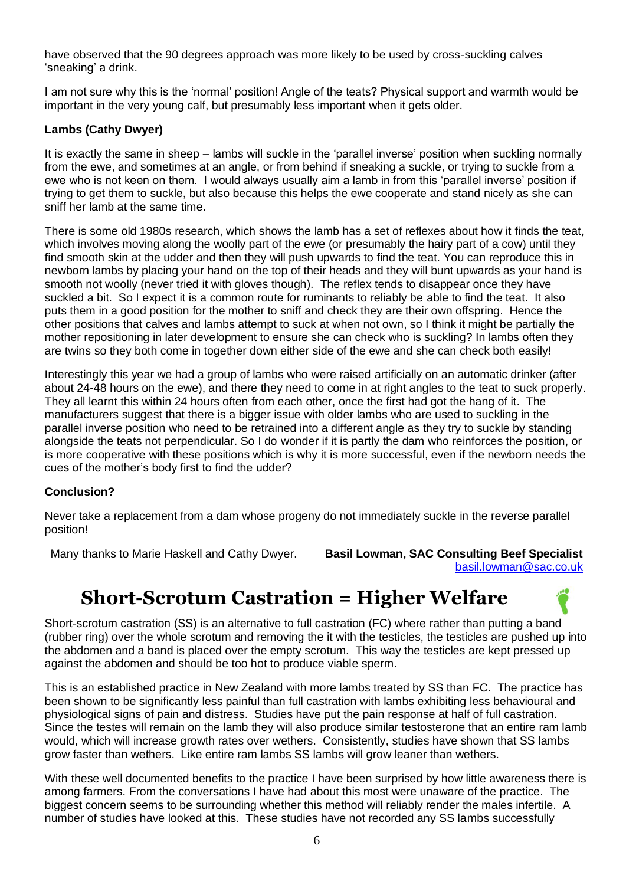have observed that the 90 degrees approach was more likely to be used by cross-suckling calves 'sneaking' a drink.

I am not sure why this is the 'normal' position! Angle of the teats? Physical support and warmth would be important in the very young calf, but presumably less important when it gets older.

#### **Lambs (Cathy Dwyer)**

It is exactly the same in sheep – lambs will suckle in the 'parallel inverse' position when suckling normally from the ewe, and sometimes at an angle, or from behind if sneaking a suckle, or trying to suckle from a ewe who is not keen on them. I would always usually aim a lamb in from this 'parallel inverse' position if trying to get them to suckle, but also because this helps the ewe cooperate and stand nicely as she can sniff her lamb at the same time.

There is some old 1980s research, which shows the lamb has a set of reflexes about how it finds the teat, which involves moving along the woolly part of the ewe (or presumably the hairy part of a cow) until they find smooth skin at the udder and then they will push upwards to find the teat. You can reproduce this in newborn lambs by placing your hand on the top of their heads and they will bunt upwards as your hand is smooth not woolly (never tried it with gloves though). The reflex tends to disappear once they have suckled a bit. So I expect it is a common route for ruminants to reliably be able to find the teat. It also puts them in a good position for the mother to sniff and check they are their own offspring. Hence the other positions that calves and lambs attempt to suck at when not own, so I think it might be partially the mother repositioning in later development to ensure she can check who is suckling? In lambs often they are twins so they both come in together down either side of the ewe and she can check both easily!

Interestingly this year we had a group of lambs who were raised artificially on an automatic drinker (after about 24-48 hours on the ewe), and there they need to come in at right angles to the teat to suck properly. They all learnt this within 24 hours often from each other, once the first had got the hang of it. The manufacturers suggest that there is a bigger issue with older lambs who are used to suckling in the parallel inverse position who need to be retrained into a different angle as they try to suckle by standing alongside the teats not perpendicular. So I do wonder if it is partly the dam who reinforces the position, or is more cooperative with these positions which is why it is more successful, even if the newborn needs the cues of the mother's body first to find the udder?

#### **Conclusion?**

Never take a replacement from a dam whose progeny do not immediately suckle in the reverse parallel position!

Many thanks to Marie Haskell and Cathy Dwyer. **Basil Lowman, SAC Consulting Beef Specialist** [basil.lowman@sac.co.uk](mailto:basil.lowman@sac.co.uk)

## **Short-Scrotum Castration = Higher Welfare**



This is an established practice in New Zealand with more lambs treated by SS than FC. The practice has been shown to be significantly less painful than full castration with lambs exhibiting less behavioural and physiological signs of pain and distress. Studies have put the pain response at half of full castration. Since the testes will remain on the lamb they will also produce similar testosterone that an entire ram lamb would, which will increase growth rates over wethers. Consistently, studies have shown that SS lambs grow faster than wethers. Like entire ram lambs SS lambs will grow leaner than wethers.

With these well documented benefits to the practice I have been surprised by how little awareness there is among farmers. From the conversations I have had about this most were unaware of the practice. The biggest concern seems to be surrounding whether this method will reliably render the males infertile. A number of studies have looked at this. These studies have not recorded any SS lambs successfully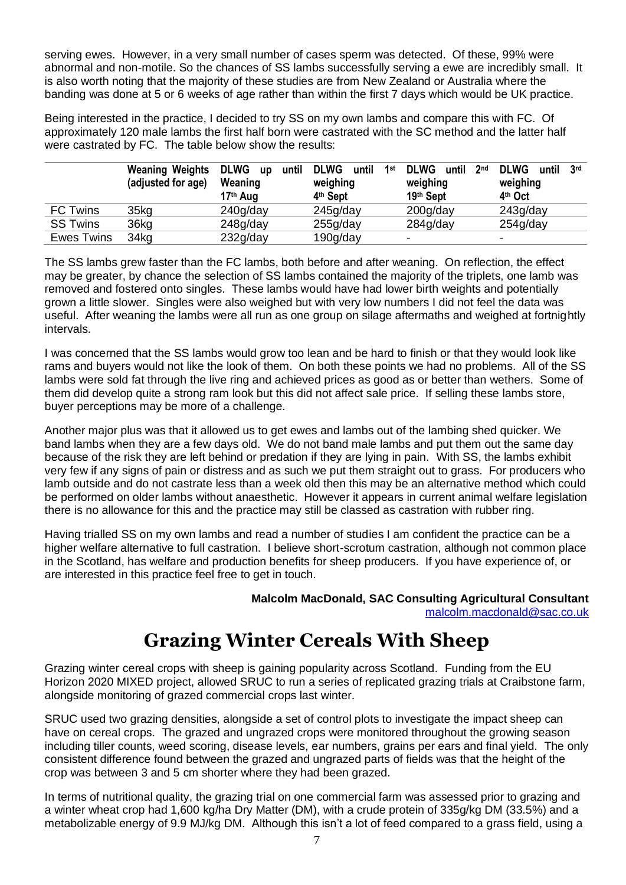serving ewes. However, in a very small number of cases sperm was detected. Of these, 99% were abnormal and non-motile. So the chances of SS lambs successfully serving a ewe are incredibly small. It is also worth noting that the majority of these studies are from New Zealand or Australia where the banding was done at 5 or 6 weeks of age rather than within the first 7 days which would be UK practice.

Being interested in the practice, I decided to try SS on my own lambs and compare this with FC. Of approximately 120 male lambs the first half born were castrated with the SC method and the latter half were castrated by FC. The table below show the results:

|                   | <b>Weaning Weights</b><br>(adjusted for age) | <b>DLWG</b><br>until<br><b>up</b><br>Weaning<br>17 <sup>th</sup> Aug | <b>DLWG</b><br>1st<br>until<br>weighing<br>4 <sup>th</sup> Sept | <b>DLWG</b><br>2 <sub>nd</sub><br>until<br>weighing<br>19th Sept | <b>DLWG</b><br>3 <sup>rd</sup><br>until<br>weighing<br>4th Oct |
|-------------------|----------------------------------------------|----------------------------------------------------------------------|-----------------------------------------------------------------|------------------------------------------------------------------|----------------------------------------------------------------|
| <b>FC Twins</b>   | 35 <sub>kg</sub>                             | 240g/day                                                             | 245g/day                                                        | $200$ g/day                                                      | 243g/day                                                       |
| <b>SS Twins</b>   | 36kg                                         | 248q/day                                                             | 255g/day                                                        | 284g/day                                                         | 254g/day                                                       |
| <b>Ewes Twins</b> | 34 <sub>kq</sub>                             | 232g/day                                                             | 190g/day                                                        | -                                                                | -                                                              |

The SS lambs grew faster than the FC lambs, both before and after weaning. On reflection, the effect may be greater, by chance the selection of SS lambs contained the majority of the triplets, one lamb was removed and fostered onto singles. These lambs would have had lower birth weights and potentially grown a little slower. Singles were also weighed but with very low numbers I did not feel the data was useful. After weaning the lambs were all run as one group on silage aftermaths and weighed at fortnightly intervals.

I was concerned that the SS lambs would grow too lean and be hard to finish or that they would look like rams and buyers would not like the look of them. On both these points we had no problems. All of the SS lambs were sold fat through the live ring and achieved prices as good as or better than wethers. Some of them did develop quite a strong ram look but this did not affect sale price. If selling these lambs store, buyer perceptions may be more of a challenge.

Another major plus was that it allowed us to get ewes and lambs out of the lambing shed quicker. We band lambs when they are a few days old. We do not band male lambs and put them out the same day because of the risk they are left behind or predation if they are lying in pain. With SS, the lambs exhibit very few if any signs of pain or distress and as such we put them straight out to grass. For producers who lamb outside and do not castrate less than a week old then this may be an alternative method which could be performed on older lambs without anaesthetic. However it appears in current animal welfare legislation there is no allowance for this and the practice may still be classed as castration with rubber ring.

Having trialled SS on my own lambs and read a number of studies I am confident the practice can be a higher welfare alternative to full castration. I believe short-scrotum castration, although not common place in the Scotland, has welfare and production benefits for sheep producers. If you have experience of, or are interested in this practice feel free to get in touch.

> **Malcolm MacDonald, SAC Consulting Agricultural Consultant** [malcolm.macdonald@sac.co.uk](mailto:malcolm.macdonald@sac.co.uk)

## **Grazing Winter Cereals With Sheep**

Grazing winter cereal crops with sheep is gaining popularity across Scotland. Funding from the EU Horizon 2020 MIXED project, allowed SRUC to run a series of replicated grazing trials at Craibstone farm, alongside monitoring of grazed commercial crops last winter.

SRUC used two grazing densities, alongside a set of control plots to investigate the impact sheep can have on cereal crops. The grazed and ungrazed crops were monitored throughout the growing season including tiller counts, weed scoring, disease levels, ear numbers, grains per ears and final yield. The only consistent difference found between the grazed and ungrazed parts of fields was that the height of the crop was between 3 and 5 cm shorter where they had been grazed.

In terms of nutritional quality, the grazing trial on one commercial farm was assessed prior to grazing and a winter wheat crop had 1,600 kg/ha Dry Matter (DM), with a crude protein of 335g/kg DM (33.5%) and a metabolizable energy of 9.9 MJ/kg DM. Although this isn't a lot of feed compared to a grass field, using a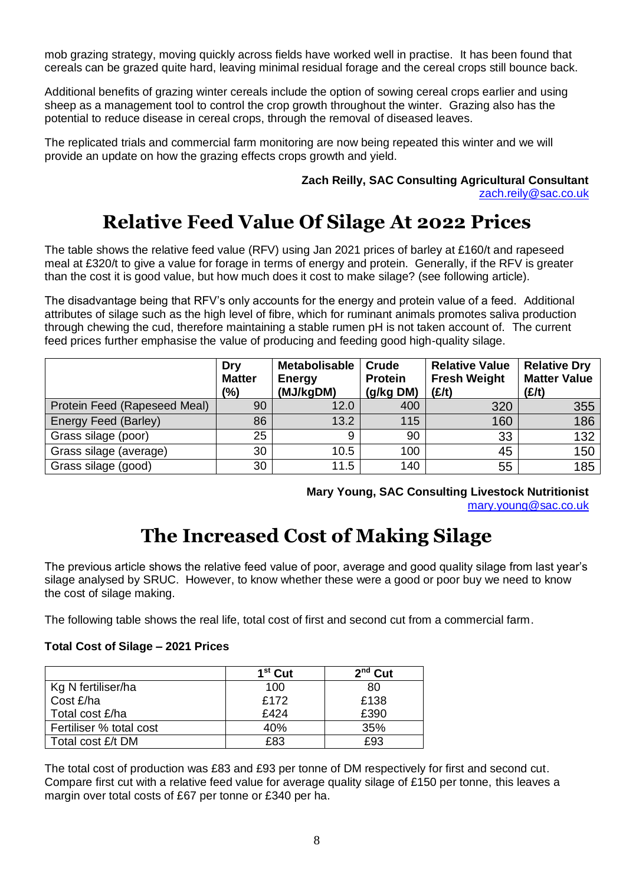mob grazing strategy, moving quickly across fields have worked well in practise. It has been found that cereals can be grazed quite hard, leaving minimal residual forage and the cereal crops still bounce back.

Additional benefits of grazing winter cereals include the option of sowing cereal crops earlier and using sheep as a management tool to control the crop growth throughout the winter. Grazing also has the potential to reduce disease in cereal crops, through the removal of diseased leaves.

The replicated trials and commercial farm monitoring are now being repeated this winter and we will provide an update on how the grazing effects crops growth and yield.

## **Zach Reilly, SAC Consulting Agricultural Consultant**

[zach.reily@sac.co.uk](mailto:zach.reily@sac.co.uk)

## **Relative Feed Value Of Silage At 2022 Prices**

The table shows the relative feed value (RFV) using Jan 2021 prices of barley at £160/t and rapeseed meal at £320/t to give a value for forage in terms of energy and protein. Generally, if the RFV is greater than the cost it is good value, but how much does it cost to make silage? (see following article).

The disadvantage being that RFV's only accounts for the energy and protein value of a feed. Additional attributes of silage such as the high level of fibre, which for ruminant animals promotes saliva production through chewing the cud, therefore maintaining a stable rumen pH is not taken account of. The current feed prices further emphasise the value of producing and feeding good high-quality silage.

|                              | Dry<br><b>Matter</b><br>(%) | <b>Metabolisable</b><br><b>Energy</b><br>(MJ/kgDM) | Crude<br><b>Protein</b><br>(g/kg DM) | <b>Relative Value</b><br><b>Fresh Weight</b><br>(E/t) | <b>Relative Dry</b><br><b>Matter Value</b><br>(E/t) |
|------------------------------|-----------------------------|----------------------------------------------------|--------------------------------------|-------------------------------------------------------|-----------------------------------------------------|
| Protein Feed (Rapeseed Meal) | 90                          | 12.0                                               | 400                                  | 320                                                   | 355                                                 |
| Energy Feed (Barley)         | 86                          | 13.2                                               | 115                                  | 160                                                   | 186                                                 |
| Grass silage (poor)          | 25                          | 9                                                  | 90                                   | 33                                                    | 132                                                 |
| Grass silage (average)       | 30                          | 10.5                                               | 100                                  | 45                                                    | 150                                                 |
| Grass silage (good)          | 30                          | 11.5                                               | 140                                  | 55                                                    | 185                                                 |

**Mary Young, SAC Consulting Livestock Nutritionist**  [mary.young@sac.co.uk](mailto:mary.young@sac.co.uk)

## **The Increased Cost of Making Silage**

The previous article shows the relative feed value of poor, average and good quality silage from last year's silage analysed by SRUC. However, to know whether these were a good or poor buy we need to know the cost of silage making.

The following table shows the real life, total cost of first and second cut from a commercial farm.

#### **Total Cost of Silage – 2021 Prices**

|                         | 1 <sup>st</sup> Cut | ሳnd<br>Cut |
|-------------------------|---------------------|------------|
| Kg N fertiliser/ha      | 100                 | 80         |
| Cost £/ha               | £172                | £138       |
| Total cost £/ha         | £424                | £390       |
| Fertiliser % total cost | 40%                 | 35%        |
| Total cost £/t DM       | £ጸ3                 | £93        |

The total cost of production was £83 and £93 per tonne of DM respectively for first and second cut. Compare first cut with a relative feed value for average quality silage of £150 per tonne, this leaves a margin over total costs of £67 per tonne or £340 per ha.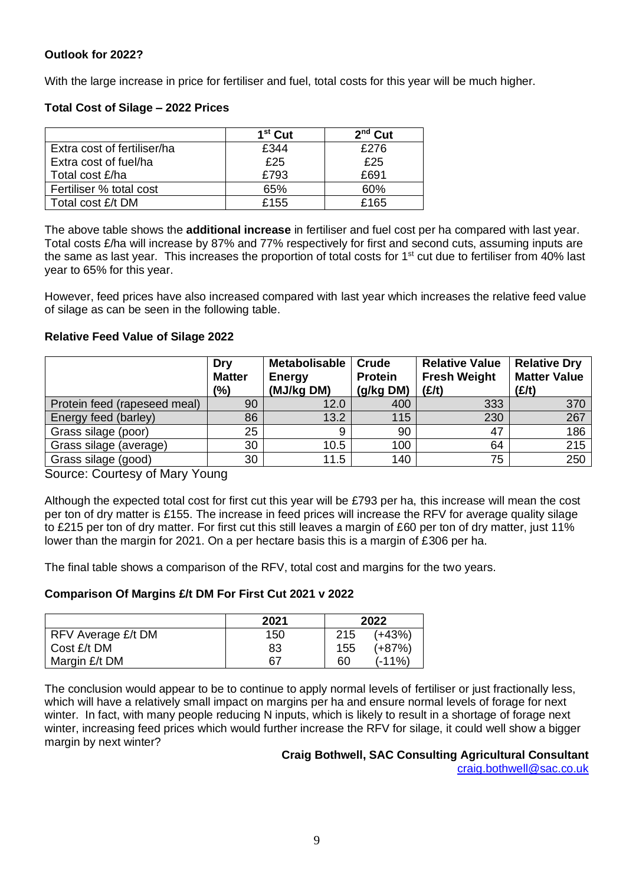#### **Outlook for 2022?**

With the large increase in price for fertiliser and fuel, total costs for this year will be much higher.

#### **Total Cost of Silage – 2022 Prices**

|                             | $1st$ Cut | $2nd$ Cut |
|-----------------------------|-----------|-----------|
| Extra cost of fertiliser/ha | £344      | £276      |
| Extra cost of fuel/ha       | £25       | £25       |
| Total cost £/ha             | £793      | £691      |
| Fertiliser % total cost     | 65%       | 60%       |
| Total cost £/t DM           | £155      | £165      |

The above table shows the **additional increase** in fertiliser and fuel cost per ha compared with last year. Total costs £/ha will increase by 87% and 77% respectively for first and second cuts, assuming inputs are the same as last year. This increases the proportion of total costs for  $1<sup>st</sup>$  cut due to fertiliser from 40% last year to 65% for this year.

However, feed prices have also increased compared with last year which increases the relative feed value of silage as can be seen in the following table.

#### **Relative Feed Value of Silage 2022**

|                              | Dry<br><b>Matter</b><br>(%) | <b>Metabolisable</b><br><b>Energy</b><br>(MJ/kg DM) | Crude<br><b>Protein</b><br>(g/kg DM) | <b>Relative Value</b><br><b>Fresh Weight</b><br>(E/t) | <b>Relative Dry</b><br><b>Matter Value</b><br>(E/t) |
|------------------------------|-----------------------------|-----------------------------------------------------|--------------------------------------|-------------------------------------------------------|-----------------------------------------------------|
| Protein feed (rapeseed meal) | 90                          | 12.0                                                | 400                                  | 333                                                   | 370                                                 |
| Energy feed (barley)         | 86                          | 13.2                                                | 115                                  | 230                                                   | 267                                                 |
| Grass silage (poor)          | 25                          | 9                                                   | 90                                   | 47                                                    | 186                                                 |
| Grass silage (average)       | 30                          | 10.5                                                | 100                                  | 64                                                    | 215                                                 |
| Grass silage (good)          | 30                          | 11.5                                                | 140                                  | 75                                                    | 250                                                 |

Source: Courtesy of Mary Young

Although the expected total cost for first cut this year will be £793 per ha, this increase will mean the cost per ton of dry matter is £155. The increase in feed prices will increase the RFV for average quality silage to £215 per ton of dry matter. For first cut this still leaves a margin of £60 per ton of dry matter, just 11% lower than the margin for 2021. On a per hectare basis this is a margin of £306 per ha.

The final table shows a comparison of the RFV, total cost and margins for the two years.

#### **Comparison Of Margins £/t DM For First Cut 2021 v 2022**

|                    | 2021 | 2022 |          |  |
|--------------------|------|------|----------|--|
| RFV Average £/t DM | 150  | 215  | $(+43%)$ |  |
| Cost £/t DM        | 83   | 155  | $(+87%)$ |  |
| Margin £/t DM      | 67   | 60   | $(-11%)$ |  |

The conclusion would appear to be to continue to apply normal levels of fertiliser or just fractionally less, which will have a relatively small impact on margins per ha and ensure normal levels of forage for next winter. In fact, with many people reducing N inputs, which is likely to result in a shortage of forage next winter, increasing feed prices which would further increase the RFV for silage, it could well show a bigger margin by next winter?

#### **Craig Bothwell, SAC Consulting Agricultural Consultant**

[craig.bothwell@sac.co.uk](mailto:craig.bothwell@sac.co.uk)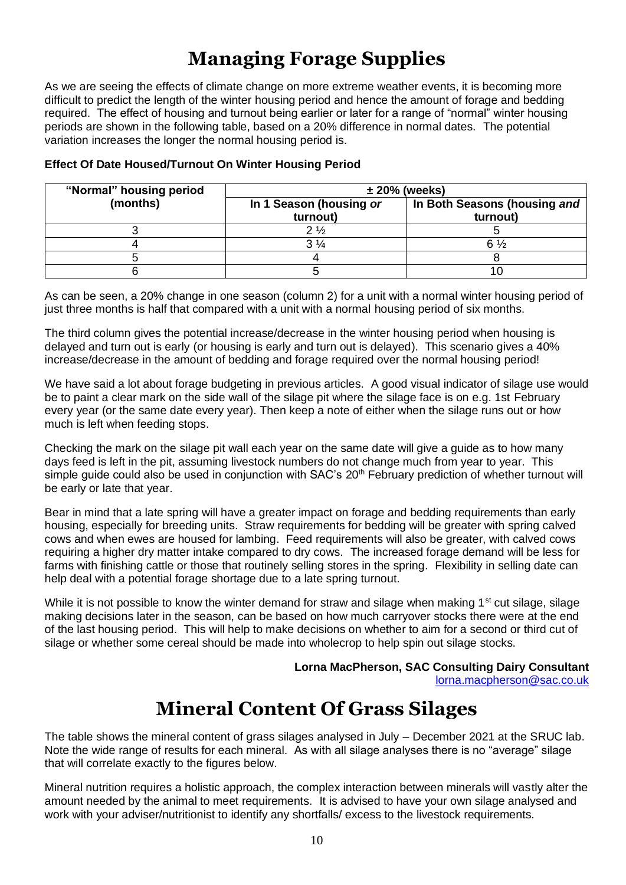## **Managing Forage Supplies**

As we are seeing the effects of climate change on more extreme weather events, it is becoming more difficult to predict the length of the winter housing period and hence the amount of forage and bedding required. The effect of housing and turnout being earlier or later for a range of "normal" winter housing periods are shown in the following table, based on a 20% difference in normal dates. The potential variation increases the longer the normal housing period is.

| "Normal" housing period |                                     | $\pm 20\%$ (weeks)                       |  |  |  |
|-------------------------|-------------------------------------|------------------------------------------|--|--|--|
| (months)                | In 1 Season (housing or<br>turnout) | In Both Seasons (housing and<br>turnout) |  |  |  |
|                         | $2\frac{1}{2}$                      |                                          |  |  |  |
|                         |                                     | 6 ½                                      |  |  |  |
|                         |                                     |                                          |  |  |  |
|                         |                                     |                                          |  |  |  |

#### **Effect Of Date Housed/Turnout On Winter Housing Period**

As can be seen, a 20% change in one season (column 2) for a unit with a normal winter housing period of just three months is half that compared with a unit with a normal housing period of six months.

The third column gives the potential increase/decrease in the winter housing period when housing is delayed and turn out is early (or housing is early and turn out is delayed). This scenario gives a 40% increase/decrease in the amount of bedding and forage required over the normal housing period!

We have said a lot about forage budgeting in previous articles. A good visual indicator of silage use would be to paint a clear mark on the side wall of the silage pit where the silage face is on e.g. 1st February every year (or the same date every year). Then keep a note of either when the silage runs out or how much is left when feeding stops.

Checking the mark on the silage pit wall each year on the same date will give a guide as to how many days feed is left in the pit, assuming livestock numbers do not change much from year to year. This simple guide could also be used in conjunction with SAC's 20<sup>th</sup> February prediction of whether turnout will be early or late that year.

Bear in mind that a late spring will have a greater impact on forage and bedding requirements than early housing, especially for breeding units. Straw requirements for bedding will be greater with spring calved cows and when ewes are housed for lambing. Feed requirements will also be greater, with calved cows requiring a higher dry matter intake compared to dry cows. The increased forage demand will be less for farms with finishing cattle or those that routinely selling stores in the spring. Flexibility in selling date can help deal with a potential forage shortage due to a late spring turnout.

While it is not possible to know the winter demand for straw and silage when making 1<sup>st</sup> cut silage, silage making decisions later in the season, can be based on how much carryover stocks there were at the end of the last housing period. This will help to make decisions on whether to aim for a second or third cut of silage or whether some cereal should be made into wholecrop to help spin out silage stocks.

> **Lorna MacPherson, SAC Consulting Dairy Consultant** [lorna.macpherson@sac.co.uk](mailto:lorna.macpherson@sac.co.uk)

## **Mineral Content Of Grass Silages**

The table shows the mineral content of grass silages analysed in July – December 2021 at the SRUC lab. Note the wide range of results for each mineral. As with all silage analyses there is no "average" silage that will correlate exactly to the figures below.

Mineral nutrition requires a holistic approach, the complex interaction between minerals will vastly alter the amount needed by the animal to meet requirements. It is advised to have your own silage analysed and work with your adviser/nutritionist to identify any shortfalls/ excess to the livestock requirements.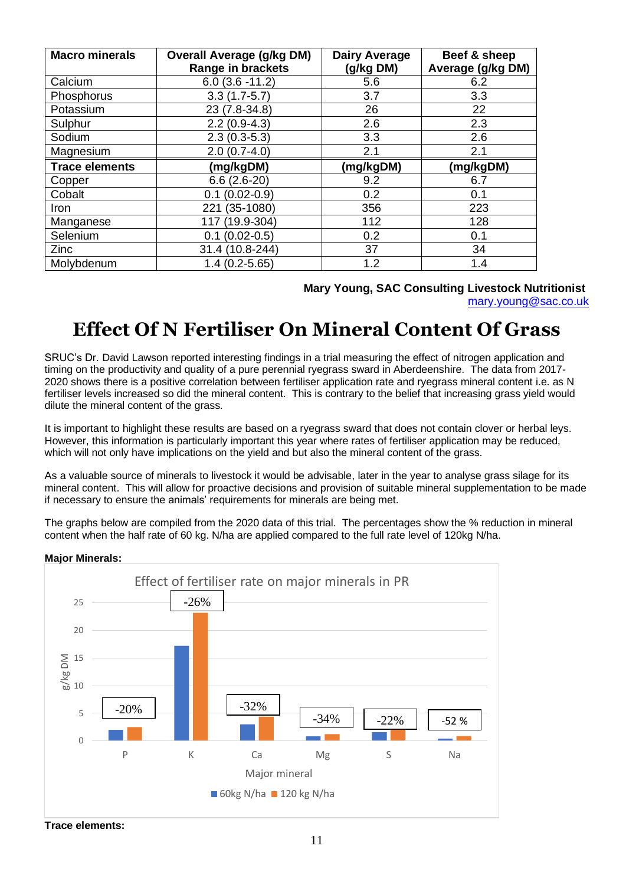| <b>Macro minerals</b> | <b>Overall Average (g/kg DM)</b><br><b>Range in brackets</b> | <b>Dairy Average</b><br>(g/kg DM) | Beef & sheep<br>Average (g/kg DM) |
|-----------------------|--------------------------------------------------------------|-----------------------------------|-----------------------------------|
| Calcium               | $6.0(3.6 - 11.2)$                                            | 5.6                               | 6.2                               |
| Phosphorus            | $3.3(1.7-5.7)$                                               | 3.7                               | 3.3                               |
| Potassium             | 23 (7.8-34.8)                                                | 26                                | 22                                |
| Sulphur               | $2.2(0.9-4.3)$                                               | 2.6                               | 2.3                               |
| Sodium                | $2.3(0.3-5.3)$                                               | 3.3                               | 2.6                               |
| Magnesium             | $2.0(0.7-4.0)$                                               | 2.1                               | 2.1                               |
| <b>Trace elements</b> | (mg/kgDM)                                                    | (mg/kgDM)                         | (mg/kgDM)                         |
| Copper                | $6.6(2.6-20)$                                                | 9.2                               | 6.7                               |
| Cobalt                | $(0.02 - 0.9)$<br>0.1                                        | 0.2                               | 0.1                               |
| Iron                  | $(35-1080)$<br>221                                           | 356                               | 223                               |
| Manganese             | $(19.9 - 304)$<br>117                                        | 112                               | 128                               |
| Selenium              | $(0.02 - 0.5)$<br>0.1                                        | 0.2                               | 0.1                               |
| Zinc                  | 31.4 (10.8-244)                                              | 37                                | 34                                |
| Molybdenum            | $1.4(0.2 - 5.65)$                                            | 1.2                               | 1.4                               |

#### **Mary Young, SAC Consulting Livestock Nutritionist**

[mary.young@sac.co.uk](mailto:mary.young@sac.co.uk)

## **Effect Of N Fertiliser On Mineral Content Of Grass**

SRUC's Dr. David Lawson reported interesting findings in a trial measuring the effect of nitrogen application and timing on the productivity and quality of a pure perennial ryegrass sward in Aberdeenshire. The data from 2017- 2020 shows there is a positive correlation between fertiliser application rate and ryegrass mineral content i.e. as N fertiliser levels increased so did the mineral content. This is contrary to the belief that increasing grass yield would dilute the mineral content of the grass.

It is important to highlight these results are based on a ryegrass sward that does not contain clover or herbal leys. However, this information is particularly important this year where rates of fertiliser application may be reduced, which will not only have implications on the yield and but also the mineral content of the grass.

As a valuable source of minerals to livestock it would be advisable, later in the year to analyse grass silage for its mineral content. This will allow for proactive decisions and provision of suitable mineral supplementation to be made if necessary to ensure the animals' requirements for minerals are being met.

The graphs below are compiled from the 2020 data of this trial. The percentages show the % reduction in mineral content when the half rate of 60 kg. N/ha are applied compared to the full rate level of 120kg N/ha.

#### **Major Minerals:**



**Trace elements:**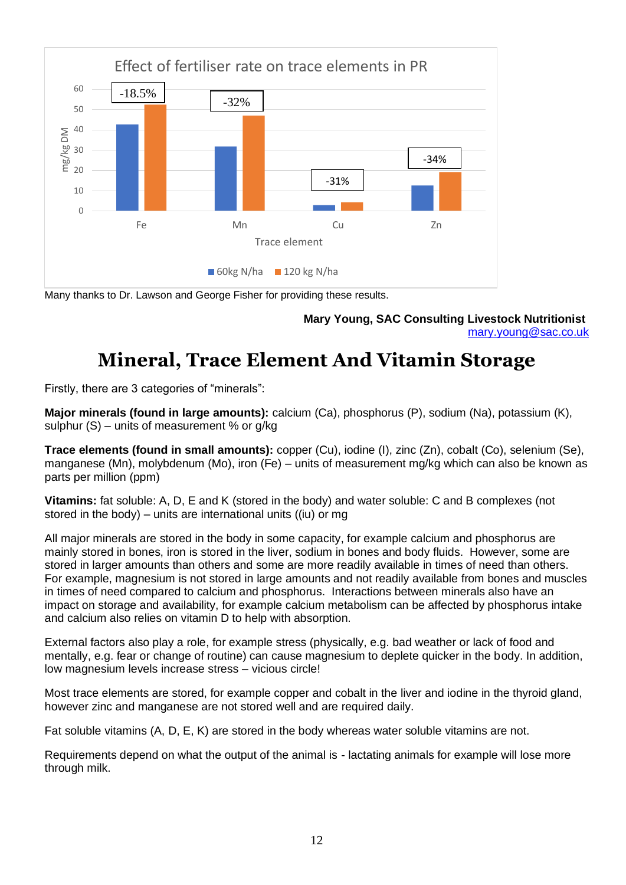

Many thanks to Dr. Lawson and George Fisher for providing these results.

**Mary Young, SAC Consulting Livestock Nutritionist** [mary.young@sac.co.uk](mailto:mary.young@sac.co.uk)

## **Mineral, Trace Element And Vitamin Storage**

Firstly, there are 3 categories of "minerals":

**Major minerals (found in large amounts):** calcium (Ca), phosphorus (P), sodium (Na), potassium (K), sulphur (S) – units of measurement % or g/kg

**Trace elements (found in small amounts):** copper (Cu), iodine (I), zinc (Zn), cobalt (Co), selenium (Se), manganese (Mn), molybdenum (Mo), iron (Fe) – units of measurement mg/kg which can also be known as parts per million (ppm)

**Vitamins:** fat soluble: A, D, E and K (stored in the body) and water soluble: C and B complexes (not stored in the body) – units are international units ((iu) or mg

All major minerals are stored in the body in some capacity, for example calcium and phosphorus are mainly stored in bones, iron is stored in the liver, sodium in bones and body fluids. However, some are stored in larger amounts than others and some are more readily available in times of need than others. For example, magnesium is not stored in large amounts and not readily available from bones and muscles in times of need compared to calcium and phosphorus. Interactions between minerals also have an impact on storage and availability, for example calcium metabolism can be affected by phosphorus intake and calcium also relies on vitamin D to help with absorption.

External factors also play a role, for example stress (physically, e.g. bad weather or lack of food and mentally, e.g. fear or change of routine) can cause magnesium to deplete quicker in the body. In addition, low magnesium levels increase stress – vicious circle!

Most trace elements are stored, for example copper and cobalt in the liver and iodine in the thyroid gland, however zinc and manganese are not stored well and are required daily.

Fat soluble vitamins (A, D, E, K) are stored in the body whereas water soluble vitamins are not.

Requirements depend on what the output of the animal is - lactating animals for example will lose more through milk.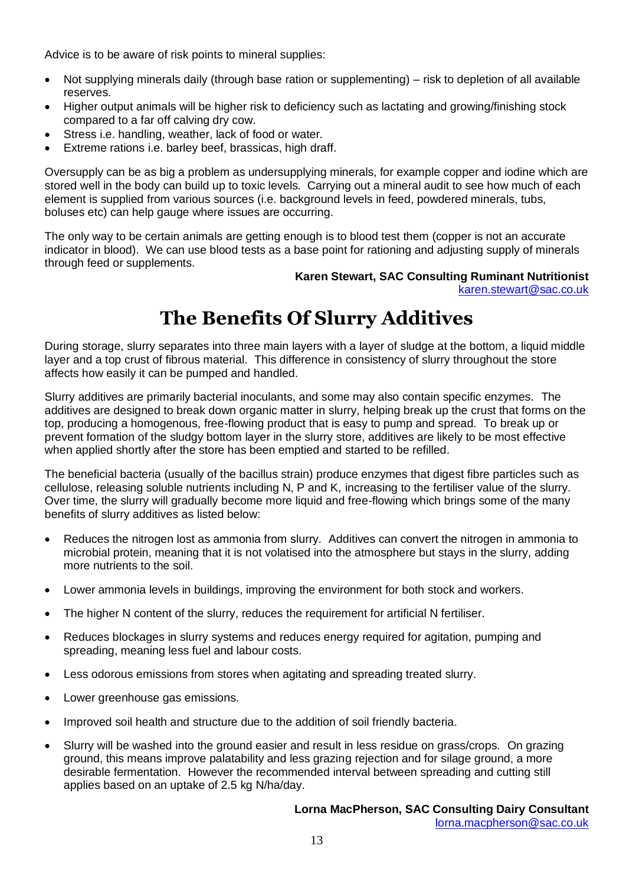Advice is to be aware of risk points to mineral supplies:

- Not supplying minerals daily (through base ration or supplementing) risk to depletion of all available reserves.
- Higher output animals will be higher risk to deficiency such as lactating and growing/finishing stock compared to a far off calving dry cow.
- Stress i.e. handling, weather, lack of food or water.
- Extreme rations i.e. barley beef, brassicas, high draff.

Oversupply can be as big a problem as undersupplying minerals, for example copper and iodine which are stored well in the body can build up to toxic levels. Carrying out a mineral audit to see how much of each element is supplied from various sources (i.e. background levels in feed, powdered minerals, tubs, boluses etc) can help gauge where issues are occurring.

The only way to be certain animals are getting enough is to blood test them (copper is not an accurate indicator in blood). We can use blood tests as a base point for rationing and adjusting supply of minerals through feed or supplements.

## **Karen Stewart, SAC Consulting Ruminant Nutritionist**

[karen.stewart@sac.co.uk](mailto:karen.stewart@sac.co.uk)

## **The Benefits Of Slurry Additives**

During storage, slurry separates into three main layers with a layer of sludge at the bottom, a liquid middle layer and a top crust of fibrous material. This difference in consistency of slurry throughout the store affects how easily it can be pumped and handled.

Slurry additives are primarily bacterial inoculants, and some may also contain specific enzymes. The additives are designed to break down organic matter in slurry, helping break up the crust that forms on the top, producing a homogenous, free-flowing product that is easy to pump and spread. To break up or prevent formation of the sludgy bottom layer in the slurry store, additives are likely to be most effective when applied shortly after the store has been emptied and started to be refilled.

The beneficial bacteria (usually of the bacillus strain) produce enzymes that digest fibre particles such as cellulose, releasing soluble nutrients including N, P and K, increasing to the fertiliser value of the slurry. Over time, the slurry will gradually become more liquid and free-flowing which brings some of the many benefits of slurry additives as listed below:

- Reduces the nitrogen lost as ammonia from slurry. Additives can convert the nitrogen in ammonia to microbial protein, meaning that it is not volatised into the atmosphere but stays in the slurry, adding more nutrients to the soil.
- Lower ammonia levels in buildings, improving the environment for both stock and workers.
- The higher N content of the slurry, reduces the requirement for artificial N fertiliser.
- Reduces blockages in slurry systems and reduces energy required for agitation, pumping and spreading, meaning less fuel and labour costs.
- Less odorous emissions from stores when agitating and spreading treated slurry.
- Lower greenhouse gas emissions.
- Improved soil health and structure due to the addition of soil friendly bacteria.
- Slurry will be washed into the ground easier and result in less residue on grass/crops. On grazing ground, this means improve palatability and less grazing rejection and for silage ground, a more desirable fermentation. However the recommended interval between spreading and cutting still applies based on an uptake of 2.5 kg N/ha/day.

## **Lorna MacPherson, SAC Consulting Dairy Consultant**

[lorna.macpherson@sac.co.uk](mailto:lorna.macpherson@sac.co.uk)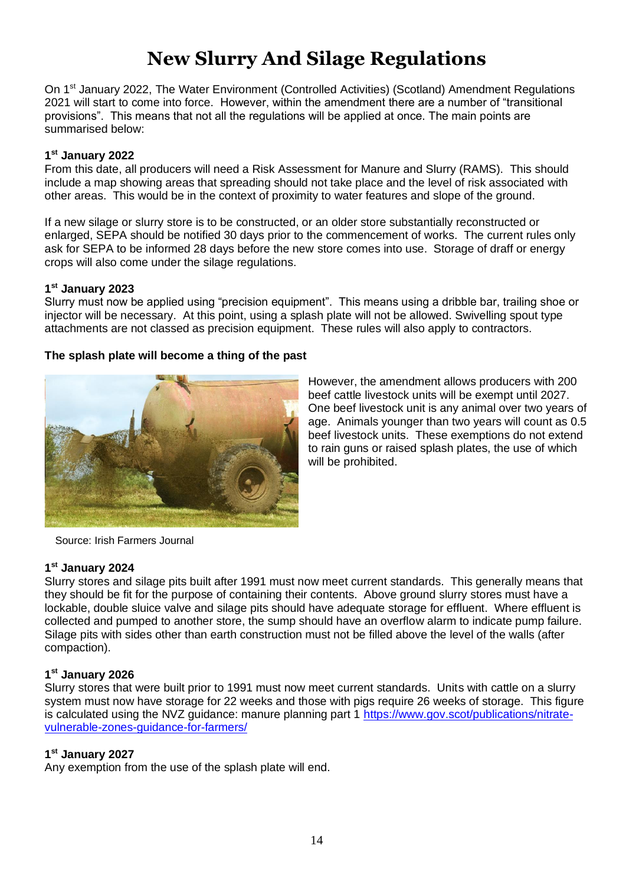# **New Slurry And Silage Regulations**

On 1st January 2022, The Water Environment (Controlled Activities) (Scotland) Amendment Regulations 2021 will start to come into force. However, within the amendment there are a number of "transitional provisions". This means that not all the regulations will be applied at once. The main points are summarised below:

#### **1 st January 2022**

From this date, all producers will need a Risk Assessment for Manure and Slurry (RAMS). This should include a map showing areas that spreading should not take place and the level of risk associated with other areas. This would be in the context of proximity to water features and slope of the ground.

If a new silage or slurry store is to be constructed, or an older store substantially reconstructed or enlarged, SEPA should be notified 30 days prior to the commencement of works. The current rules only ask for SEPA to be informed 28 days before the new store comes into use. Storage of draff or energy crops will also come under the silage regulations.

#### **1 st January 2023**

Slurry must now be applied using "precision equipment". This means using a dribble bar, trailing shoe or injector will be necessary. At this point, using a splash plate will not be allowed. Swivelling spout type attachments are not classed as precision equipment. These rules will also apply to contractors.

#### **The splash plate will become a thing of the past**



However, the amendment allows producers with 200 beef cattle livestock units will be exempt until 2027. One beef livestock unit is any animal over two years of age. Animals younger than two years will count as 0.5 beef livestock units. These exemptions do not extend to rain guns or raised splash plates, the use of which will be prohibited.

Source: Irish Farmers Journal

#### **1 st January 2024**

Slurry stores and silage pits built after 1991 must now meet current standards. This generally means that they should be fit for the purpose of containing their contents. Above ground slurry stores must have a lockable, double sluice valve and silage pits should have adequate storage for effluent. Where effluent is collected and pumped to another store, the sump should have an overflow alarm to indicate pump failure. Silage pits with sides other than earth construction must not be filled above the level of the walls (after compaction).

#### **1 st January 2026**

Slurry stores that were built prior to 1991 must now meet current standards. Units with cattle on a slurry system must now have storage for 22 weeks and those with pigs require 26 weeks of storage. This figure is calculated using the NVZ guidance: manure planning part 1 [https://www.gov.scot/publications/nitrate](https://www.gov.scot/publications/nitrate-vulnerable-zones-guidance-for-farmers/)[vulnerable-zones-guidance-for-farmers/](https://www.gov.scot/publications/nitrate-vulnerable-zones-guidance-for-farmers/)

#### **1 st January 2027**

Any exemption from the use of the splash plate will end.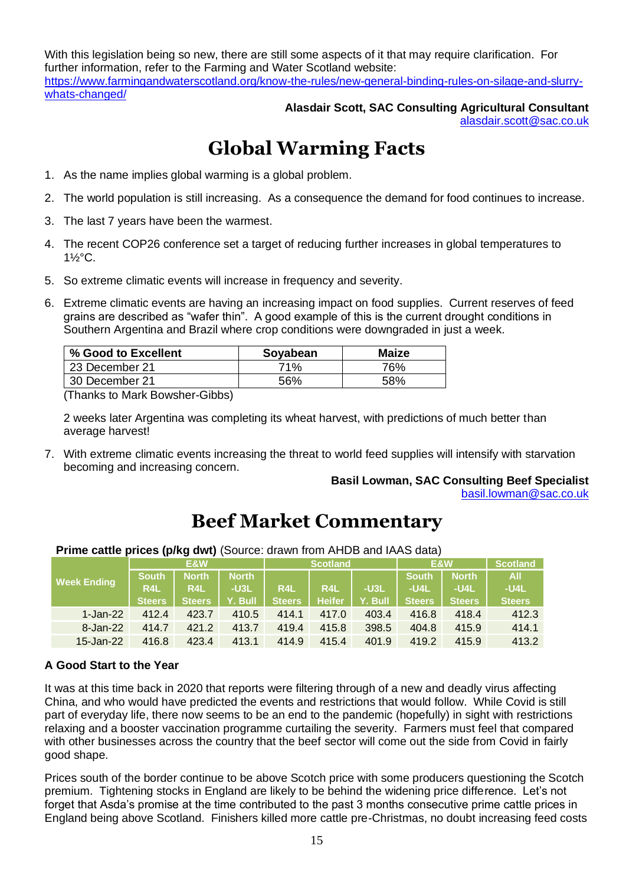With this legislation being so new, there are still some aspects of it that may require clarification. For further information, refer to the Farming and Water Scotland website: [https://www.farmingandwaterscotland.org/know-the-rules/new-general-binding-rules-on-silage-and-slurry](https://www.farmingandwaterscotland.org/know-the-rules/new-general-binding-rules-on-silage-and-slurry-whats-changed/)[whats-changed/](https://www.farmingandwaterscotland.org/know-the-rules/new-general-binding-rules-on-silage-and-slurry-whats-changed/)

#### **Alasdair Scott, SAC Consulting Agricultural Consultant** [alasdair.scott@sac.co.uk](mailto:alasdair.scott@sac.co.uk)

## **Global Warming Facts**

- 1. As the name implies global warming is a global problem.
- 2. The world population is still increasing. As a consequence the demand for food continues to increase.
- 3. The last 7 years have been the warmest.
- 4. The recent COP26 conference set a target of reducing further increases in global temperatures to 1½°C.
- 5. So extreme climatic events will increase in frequency and severity.
- 6. Extreme climatic events are having an increasing impact on food supplies. Current reserves of feed grains are described as "wafer thin". A good example of this is the current drought conditions in Southern Argentina and Brazil where crop conditions were downgraded in just a week.

| % Good to Excellent | Soyabean | Maize |
|---------------------|----------|-------|
| 23 December 21      | 71%      | 76%   |
| 30 December 21      | 56%      | .58%  |

(Thanks to Mark Bowsher-Gibbs)

2 weeks later Argentina was completing its wheat harvest, with predictions of much better than average harvest!

7. With extreme climatic events increasing the threat to world feed supplies will intensify with starvation becoming and increasing concern.

#### **Basil Lowman, SAC Consulting Beef Specialist** [basil.lowman@sac.co.uk](mailto:basil.lowman@sac.co.uk)

## **Beef Market Commentary**

**Week Ending E&W Scotland E&W Scotland South North North South North All R4L R4L -U3L R4L R4L -U3L -U4L -U4L -U4L Steers Steers Y. Bull Steers Heifer Y. Bull Steers Steers Steers** 1-Jan-22 412.4 423.7 410.5 414.1 417.0 403.4 416.8 418.4 412.3

**Prime cattle prices (p/kg dwt)** (Source: drawn from AHDB and IAAS data)

#### **A Good Start to the Year**

It was at this time back in 2020 that reports were filtering through of a new and deadly virus affecting China, and who would have predicted the events and restrictions that would follow. While Covid is still part of everyday life, there now seems to be an end to the pandemic (hopefully) in sight with restrictions relaxing and a booster vaccination programme curtailing the severity. Farmers must feel that compared with other businesses across the country that the beef sector will come out the side from Covid in fairly good shape.

8-Jan-22 414.7 421.2 413.7 419.4 415.8 398.5 404.8 415.9 414.1 15-Jan-22 416.8 423.4 413.1 414.9 415.4 401.9 419.2 415.9 413.2

Prices south of the border continue to be above Scotch price with some producers questioning the Scotch premium. Tightening stocks in England are likely to be behind the widening price difference. Let's not forget that Asda's promise at the time contributed to the past 3 months consecutive prime cattle prices in England being above Scotland. Finishers killed more cattle pre-Christmas, no doubt increasing feed costs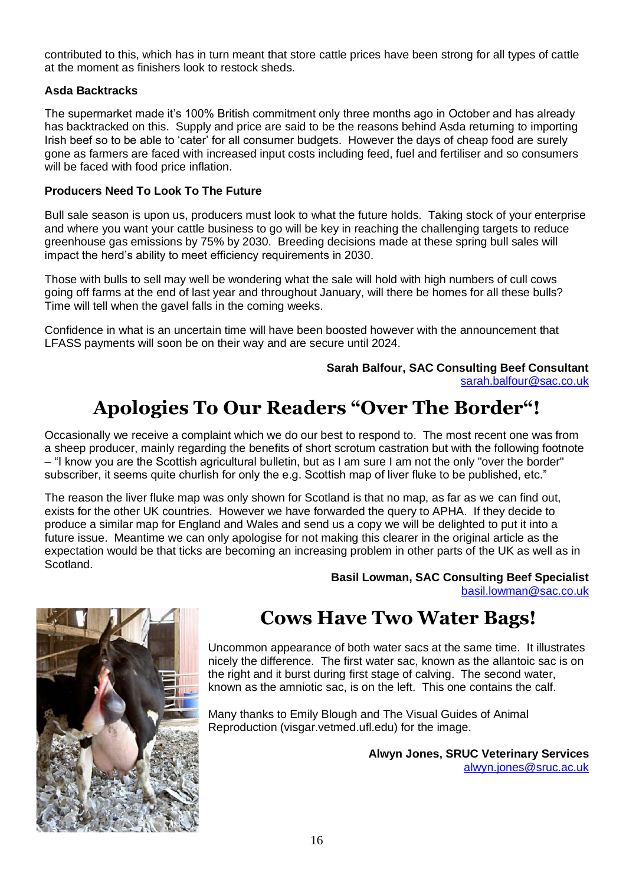contributed to this, which has in turn meant that store cattle prices have been strong for all types of cattle at the moment as finishers look to restock sheds.

#### **Asda Backtracks**

The supermarket made it's 100% British commitment only three months ago in October and has already has backtracked on this. Supply and price are said to be the reasons behind Asda returning to importing Irish beef so to be able to 'cater' for all consumer budgets. However the days of cheap food are surely gone as farmers are faced with increased input costs including feed, fuel and fertiliser and so consumers will be faced with food price inflation.

#### **Producers Need To Look To The Future**

Bull sale season is upon us, producers must look to what the future holds. Taking stock of your enterprise and where you want your cattle business to go will be key in reaching the challenging targets to reduce greenhouse gas emissions by 75% by 2030. Breeding decisions made at these spring bull sales will impact the herd's ability to meet efficiency requirements in 2030.

Those with bulls to sell may well be wondering what the sale will hold with high numbers of cull cows going off farms at the end of last year and throughout January, will there be homes for all these bulls? Time will tell when the gavel falls in the coming weeks.

Confidence in what is an uncertain time will have been boosted however with the announcement that LFASS payments will soon be on their way and are secure until 2024.

> **Sarah Balfour, SAC Consulting Beef Consultant** [sarah.balfour@sac.co.uk](mailto:sarah.balfour@sac.co.uk)

## **Apologies To Our Readers "Over The Border"!**

Occasionally we receive a complaint which we do our best to respond to. The most recent one was from a sheep producer, mainly regarding the benefits of short scrotum castration but with the following footnote – "I know you are the Scottish agricultural bulletin, but as I am sure I am not the only "over the border" subscriber, it seems quite churlish for only the e.g. Scottish map of liver fluke to be published, etc."

The reason the liver fluke map was only shown for Scotland is that no map, as far as we can find out, exists for the other UK countries. However we have forwarded the query to APHA. If they decide to produce a similar map for England and Wales and send us a copy we will be delighted to put it into a future issue. Meantime we can only apologise for not making this clearer in the original article as the expectation would be that ticks are becoming an increasing problem in other parts of the UK as well as in Scotland.

> **Basil Lowman, SAC Consulting Beef Specialist** [basil.lowman@sac.co.uk](mailto:basil.lowman@sac.co.uk)



## **Cows Have Two Water Bags!**

Uncommon appearance of both water sacs at the same time. It illustrates nicely the difference. The first water sac, known as the allantoic sac is on the right and it burst during first stage of calving. The second water, known as the amniotic sac, is on the left. This one contains the calf.

Many thanks to Emily Blough and The Visual Guides of Animal Reproduction (visgar.vetmed.ufl.edu) for the image.

> **Alwyn Jones, SRUC Veterinary Services** [alwyn.jones@sruc.ac.uk](mailto:alwyn.jones@sruc.ac.uk)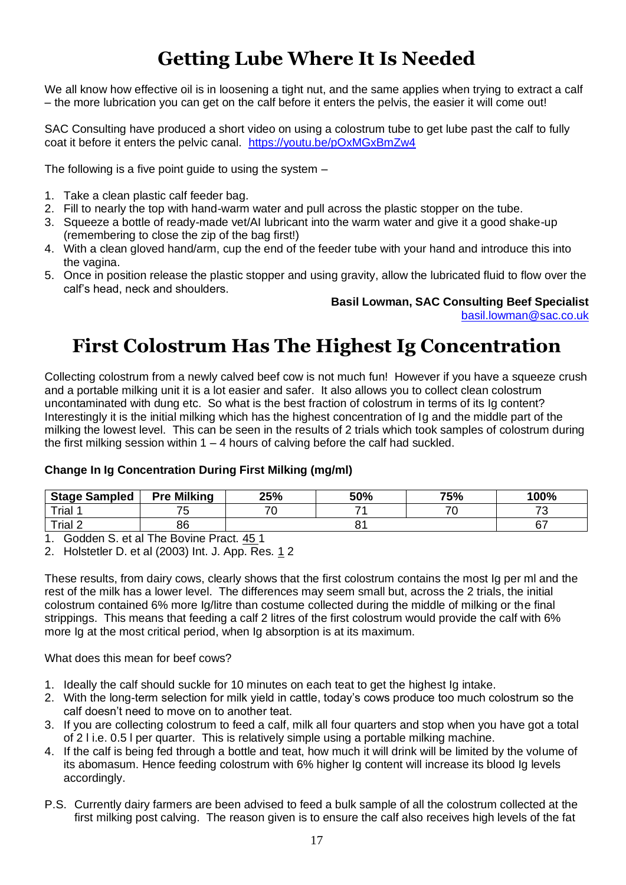# **Getting Lube Where It Is Needed**

We all know how effective oil is in loosening a tight nut, and the same applies when trying to extract a calf – the more lubrication you can get on the calf before it enters the pelvis, the easier it will come out!

SAC Consulting have produced a short video on using a colostrum tube to get lube past the calf to fully coat it before it enters the pelvic canal. <https://youtu.be/pOxMGxBmZw4>

The following is a five point guide to using the system –

- 1. Take a clean plastic calf feeder bag.
- 2. Fill to nearly the top with hand-warm water and pull across the plastic stopper on the tube.
- 3. Squeeze a bottle of ready-made vet/AI lubricant into the warm water and give it a good shake-up (remembering to close the zip of the bag first!)
- 4. With a clean gloved hand/arm, cup the end of the feeder tube with your hand and introduce this into the vagina.
- 5. Once in position release the plastic stopper and using gravity, allow the lubricated fluid to flow over the calf's head, neck and shoulders.

#### **Basil Lowman, SAC Consulting Beef Specialist**

[basil.lowman@sac.co.uk](mailto:basil.lowman@sac.co.uk)

## **First Colostrum Has The Highest Ig Concentration**

Collecting colostrum from a newly calved beef cow is not much fun! However if you have a squeeze crush and a portable milking unit it is a lot easier and safer. It also allows you to collect clean colostrum uncontaminated with dung etc. So what is the best fraction of colostrum in terms of its Ig content? Interestingly it is the initial milking which has the highest concentration of Ig and the middle part of the milking the lowest level. This can be seen in the results of 2 trials which took samples of colostrum during the first milking session within  $1 - 4$  hours of calving before the calf had suckled.

#### **Change In Ig Concentration During First Milking (mg/ml)**

| <b>Stage Sampled</b> | <b>Pre Milking</b> | 25%                      | 50% | 75% | 100% |
|----------------------|--------------------|--------------------------|-----|-----|------|
| Trial                |                    | $\overline{\phantom{a}}$ | –   |     | →    |
| Trial 2              | 86                 |                          |     |     | r 7  |

1. Godden S. et al The Bovine Pract. 45 1

2. Holstetler D. et al (2003) Int. J. App. Res. 1 2

These results, from dairy cows, clearly shows that the first colostrum contains the most Ig per ml and the rest of the milk has a lower level. The differences may seem small but, across the 2 trials, the initial colostrum contained 6% more Ig/litre than costume collected during the middle of milking or the final strippings. This means that feeding a calf 2 litres of the first colostrum would provide the calf with 6% more Ig at the most critical period, when Ig absorption is at its maximum.

What does this mean for beef cows?

- 1. Ideally the calf should suckle for 10 minutes on each teat to get the highest Ig intake.
- 2. With the long-term selection for milk yield in cattle, today's cows produce too much colostrum so the calf doesn't need to move on to another teat.
- 3. If you are collecting colostrum to feed a calf, milk all four quarters and stop when you have got a total of 2 l i.e. 0.5 l per quarter. This is relatively simple using a portable milking machine.
- 4. If the calf is being fed through a bottle and teat, how much it will drink will be limited by the volume of its abomasum. Hence feeding colostrum with 6% higher Ig content will increase its blood Ig levels accordingly.
- P.S. Currently dairy farmers are been advised to feed a bulk sample of all the colostrum collected at the first milking post calving. The reason given is to ensure the calf also receives high levels of the fat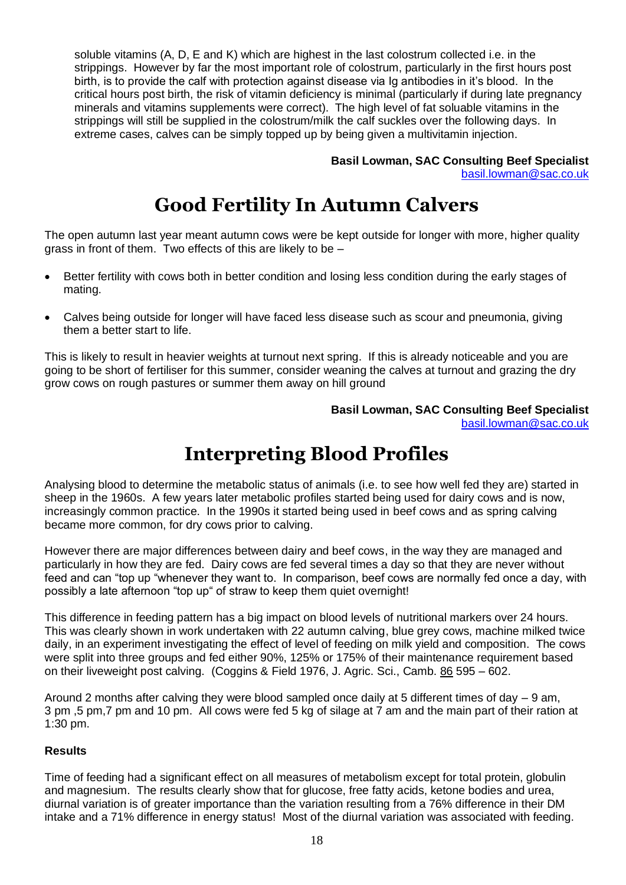soluble vitamins (A, D, E and K) which are highest in the last colostrum collected i.e. in the strippings. However by far the most important role of colostrum, particularly in the first hours post birth, is to provide the calf with protection against disease via Ig antibodies in it's blood. In the critical hours post birth, the risk of vitamin deficiency is minimal (particularly if during late pregnancy minerals and vitamins supplements were correct). The high level of fat soluable vitamins in the strippings will still be supplied in the colostrum/milk the calf suckles over the following days. In extreme cases, calves can be simply topped up by being given a multivitamin injection.

> **Basil Lowman, SAC Consulting Beef Specialist** [basil.lowman@sac.co.uk](mailto:basil.lowman@sac.co.uk)

## **Good Fertility In Autumn Calvers**

The open autumn last year meant autumn cows were be kept outside for longer with more, higher quality grass in front of them. Two effects of this are likely to be –

- Better fertility with cows both in better condition and losing less condition during the early stages of mating.
- Calves being outside for longer will have faced less disease such as scour and pneumonia, giving them a better start to life.

This is likely to result in heavier weights at turnout next spring. If this is already noticeable and you are going to be short of fertiliser for this summer, consider weaning the calves at turnout and grazing the dry grow cows on rough pastures or summer them away on hill ground

> **Basil Lowman, SAC Consulting Beef Specialist** [basil.lowman@sac.co.uk](mailto:basil.lowman@sac.co.uk)

## **Interpreting Blood Profiles**

Analysing blood to determine the metabolic status of animals (i.e. to see how well fed they are) started in sheep in the 1960s. A few years later metabolic profiles started being used for dairy cows and is now, increasingly common practice. In the 1990s it started being used in beef cows and as spring calving became more common, for dry cows prior to calving.

However there are major differences between dairy and beef cows, in the way they are managed and particularly in how they are fed. Dairy cows are fed several times a day so that they are never without feed and can "top up "whenever they want to. In comparison, beef cows are normally fed once a day, with possibly a late afternoon "top up" of straw to keep them quiet overnight!

This difference in feeding pattern has a big impact on blood levels of nutritional markers over 24 hours. This was clearly shown in work undertaken with 22 autumn calving, blue grey cows, machine milked twice daily, in an experiment investigating the effect of level of feeding on milk yield and composition. The cows were split into three groups and fed either 90%, 125% or 175% of their maintenance requirement based on their liveweight post calving. (Coggins & Field 1976, J. Agric. Sci., Camb. 86 595 - 602.

Around 2 months after calving they were blood sampled once daily at 5 different times of day – 9 am, 3 pm ,5 pm,7 pm and 10 pm. All cows were fed 5 kg of silage at 7 am and the main part of their ration at 1:30 pm.

#### **Results**

Time of feeding had a significant effect on all measures of metabolism except for total protein, globulin and magnesium. The results clearly show that for glucose, free fatty acids, ketone bodies and urea. diurnal variation is of greater importance than the variation resulting from a 76% difference in their DM intake and a 71% difference in energy status! Most of the diurnal variation was associated with feeding.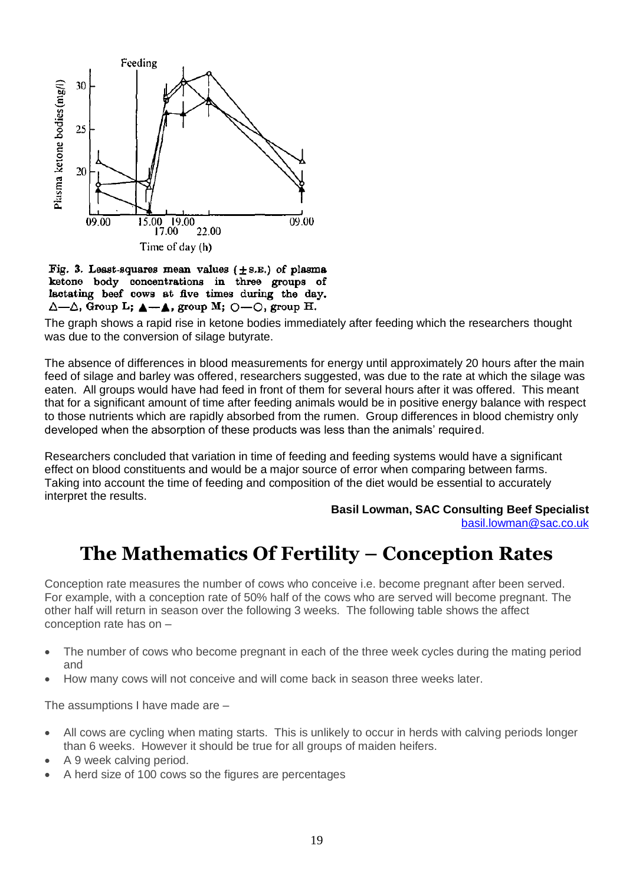

Fig. 3. Least-squares mean values  $(\pm s.\mathbb{E})$  of plasma ketone body concentrations in three groups of lactating beef cows at five times during the day.  $\Delta$ — $\Delta$ , Group L;  $\Delta$ — $\Delta$ , group M;  $\odot$ — $\odot$ , group H.

The graph shows a rapid rise in ketone bodies immediately after feeding which the researchers thought was due to the conversion of silage butyrate.

The absence of differences in blood measurements for energy until approximately 20 hours after the main feed of silage and barley was offered, researchers suggested, was due to the rate at which the silage was eaten. All groups would have had feed in front of them for several hours after it was offered. This meant that for a significant amount of time after feeding animals would be in positive energy balance with respect to those nutrients which are rapidly absorbed from the rumen. Group differences in blood chemistry only developed when the absorption of these products was less than the animals' required.

Researchers concluded that variation in time of feeding and feeding systems would have a significant effect on blood constituents and would be a major source of error when comparing between farms. Taking into account the time of feeding and composition of the diet would be essential to accurately interpret the results.

**Basil Lowman, SAC Consulting Beef Specialist**

[basil.lowman@sac.co.uk](mailto:basil.lowman@sac.co.uk)

## **The Mathematics Of Fertility – Conception Rates**

Conception rate measures the number of cows who conceive i.e. become pregnant after been served. For example, with a conception rate of 50% half of the cows who are served will become pregnant. The other half will return in season over the following 3 weeks. The following table shows the affect conception rate has on –

- The number of cows who become pregnant in each of the three week cycles during the mating period and
- How many cows will not conceive and will come back in season three weeks later.

The assumptions I have made are –

- All cows are cycling when mating starts. This is unlikely to occur in herds with calving periods longer than 6 weeks. However it should be true for all groups of maiden heifers.
- A 9 week calving period.
- A herd size of 100 cows so the figures are percentages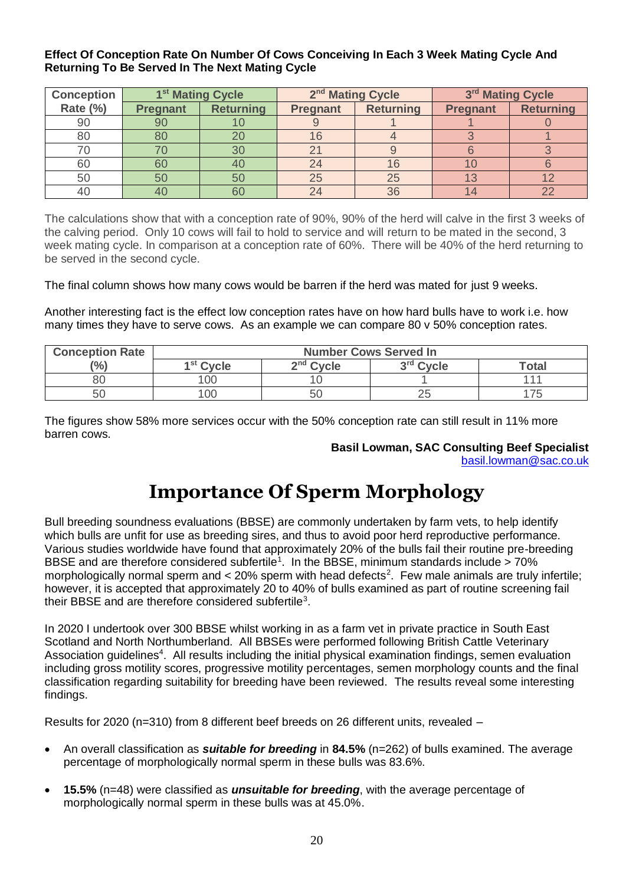#### **Effect Of Conception Rate On Number Of Cows Conceiving In Each 3 Week Mating Cycle And Returning To Be Served In The Next Mating Cycle**

| <b>Conception</b> |                 | 2 <sup>nd</sup> Mating Cycle<br>3rd Mating Cycle<br>1 <sup>st</sup> Mating Cycle |                 |                  |                 |                  |
|-------------------|-----------------|----------------------------------------------------------------------------------|-----------------|------------------|-----------------|------------------|
| Rate (%)          | <b>Pregnant</b> | <b>Returning</b>                                                                 | <b>Pregnant</b> | <b>Returning</b> | <b>Pregnant</b> | <b>Returning</b> |
| 90                | 90              |                                                                                  |                 |                  |                 |                  |
| 80                | 80              |                                                                                  |                 |                  |                 |                  |
|                   |                 | 30                                                                               |                 |                  |                 |                  |
| 60                | 60              | 40                                                                               | 24              | 16               |                 |                  |
| 50                | 50              | 50                                                                               | 25              | 25               | $\overline{1}$  |                  |
|                   | 40              | 60                                                                               |                 | 36               |                 |                  |

The calculations show that with a conception rate of 90%, 90% of the herd will calve in the first 3 weeks of the calving period. Only 10 cows will fail to hold to service and will return to be mated in the second, 3 week mating cycle. In comparison at a conception rate of 60%. There will be 40% of the herd returning to be served in the second cycle.

The final column shows how many cows would be barren if the herd was mated for just 9 weeks.

Another interesting fact is the effect low conception rates have on how hard bulls have to work i.e. how many times they have to serve cows. As an example we can compare 80 v 50% conception rates.

| <b>Conception Rate</b> | <b>Number Cows Served In</b> |                                                      |    |  |  |  |  |
|------------------------|------------------------------|------------------------------------------------------|----|--|--|--|--|
| (%)                    | 1 <sup>st</sup> Cycle        | $2nd$ Cycle<br>3 <sup>rd</sup> Cycle<br><b>Total</b> |    |  |  |  |  |
| 80                     | 00                           |                                                      |    |  |  |  |  |
| 50                     | 00                           | 5C                                                   | ∠J |  |  |  |  |

The figures show 58% more services occur with the 50% conception rate can still result in 11% more barren cows.

## **Basil Lowman, SAC Consulting Beef Specialist**

#### [basil.lowman@sac.co.uk](mailto:basil.lowman@sac.co.uk)

## **Importance Of Sperm Morphology**

Bull breeding soundness evaluations (BBSE) are commonly undertaken by farm vets, to help identify which bulls are unfit for use as breeding sires, and thus to avoid poor herd reproductive performance. Various studies worldwide have found that approximately 20% of the bulls fail their routine pre-breeding BBSE and are therefore considered subfertile<sup>1</sup>. In the BBSE, minimum standards include > 70% morphologically normal sperm and  $<$  20% sperm with head defects<sup>2</sup>. Few male animals are truly infertile; however, it is accepted that approximately 20 to 40% of bulls examined as part of routine screening fail their BBSE and are therefore considered subfertile<sup>3</sup>.

In 2020 I undertook over 300 BBSE whilst working in as a farm vet in private practice in South East Scotland and North Northumberland. All BBSEs were performed following British Cattle Veterinary Association guidelines<sup>4</sup>. All results including the initial physical examination findings, semen evaluation including gross motility scores, progressive motility percentages, semen morphology counts and the final classification regarding suitability for breeding have been reviewed. The results reveal some interesting findings.

Results for 2020 (n=310) from 8 different beef breeds on 26 different units, revealed –

- An overall classification as *suitable for breeding* in **84.5%** (n=262) of bulls examined. The average percentage of morphologically normal sperm in these bulls was 83.6%.
- **15.5%** (n=48) were classified as *unsuitable for breeding*, with the average percentage of morphologically normal sperm in these bulls was at 45.0%.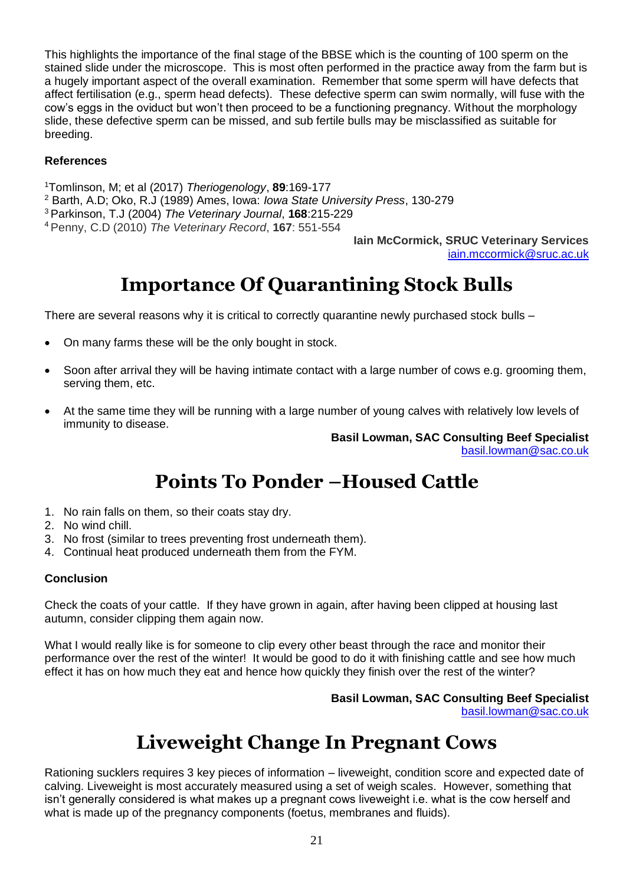This highlights the importance of the final stage of the BBSE which is the counting of 100 sperm on the stained slide under the microscope. This is most often performed in the practice away from the farm but is a hugely important aspect of the overall examination. Remember that some sperm will have defects that affect fertilisation (e.g., sperm head defects). These defective sperm can swim normally, will fuse with the cow's eggs in the oviduct but won't then proceed to be a functioning pregnancy. Without the morphology slide, these defective sperm can be missed, and sub fertile bulls may be misclassified as suitable for breeding.

#### **References**

<sup>1</sup>Tomlinson, M; et al (2017) *Theriogenology*, **89**:169-177

<sup>2</sup> Barth, A.D; Oko, R.J (1989) Ames, Iowa: *Iowa State University Press*, 130-279

<sup>3</sup>Parkinson, T.J (2004) *The Veterinary Journal*, **168**:215-229

<sup>4</sup>Penny, C.D (2010) *The Veterinary Record*, **167**: 551-554

**Iain McCormick, SRUC Veterinary Services** [iain.mccormick@sruc.ac.uk](file://///SAN/Homes/imccormick/My%20Documents/!-System-!/iain.mccormick@sruc.ac.uk)

## **Importance Of Quarantining Stock Bulls**

There are several reasons why it is critical to correctly quarantine newly purchased stock bulls –

- On many farms these will be the only bought in stock.
- Soon after arrival they will be having intimate contact with a large number of cows e.g. grooming them, serving them, etc.
- At the same time they will be running with a large number of young calves with relatively low levels of immunity to disease.

**Basil Lowman, SAC Consulting Beef Specialist**

[basil.lowman@sac.co.uk](mailto:basil.lowman@sac.co.uk)

## **Points To Ponder –Housed Cattle**

- 1. No rain falls on them, so their coats stay dry.
- 2. No wind chill.
- 3. No frost (similar to trees preventing frost underneath them).
- 4. Continual heat produced underneath them from the FYM.

#### **Conclusion**

Check the coats of your cattle. If they have grown in again, after having been clipped at housing last autumn, consider clipping them again now.

What I would really like is for someone to clip every other beast through the race and monitor their performance over the rest of the winter! It would be good to do it with finishing cattle and see how much effect it has on how much they eat and hence how quickly they finish over the rest of the winter?

> **Basil Lowman, SAC Consulting Beef Specialist** [basil.lowman@sac.co.uk](mailto:basil.lowman@sac.co.uk)

## **Liveweight Change In Pregnant Cows**

Rationing sucklers requires 3 key pieces of information – liveweight, condition score and expected date of calving. Liveweight is most accurately measured using a set of weigh scales. However, something that isn't generally considered is what makes up a pregnant cows liveweight i.e. what is the cow herself and what is made up of the pregnancy components (foetus, membranes and fluids).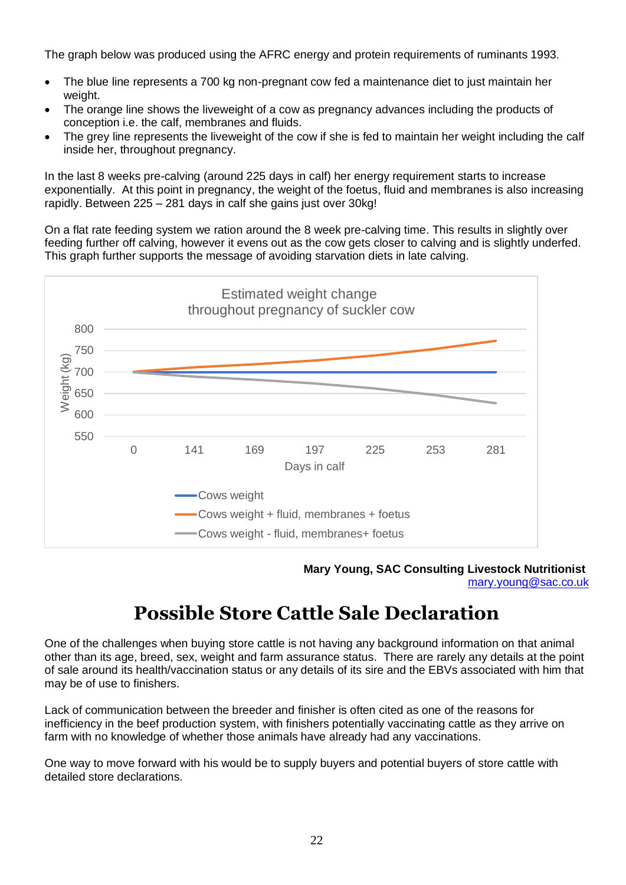The graph below was produced using the AFRC energy and protein requirements of ruminants 1993.

- The blue line represents a 700 kg non-pregnant cow fed a maintenance diet to just maintain her weight.
- The orange line shows the liveweight of a cow as pregnancy advances including the products of conception i.e. the calf, membranes and fluids.
- The grey line represents the liveweight of the cow if she is fed to maintain her weight including the calf inside her, throughout pregnancy.

In the last 8 weeks pre-calving (around 225 days in calf) her energy requirement starts to increase exponentially. At this point in pregnancy, the weight of the foetus, fluid and membranes is also increasing rapidly. Between 225 – 281 days in calf she gains just over 30kg!

On a flat rate feeding system we ration around the 8 week pre-calving time. This results in slightly over feeding further off calving, however it evens out as the cow gets closer to calving and is slightly underfed. This graph further supports the message of avoiding starvation diets in late calving.



**Mary Young, SAC Consulting Livestock Nutritionist** [mary.young@sac.co.uk](mailto:mary.young@sac.co.uk)

## **Possible Store Cattle Sale Declaration**

One of the challenges when buying store cattle is not having any background information on that animal other than its age, breed, sex, weight and farm assurance status. There are rarely any details at the point of sale around its health/vaccination status or any details of its sire and the EBVs associated with him that may be of use to finishers.

Lack of communication between the breeder and finisher is often cited as one of the reasons for inefficiency in the beef production system, with finishers potentially vaccinating cattle as they arrive on farm with no knowledge of whether those animals have already had any vaccinations.

One way to move forward with his would be to supply buyers and potential buyers of store cattle with detailed store declarations.